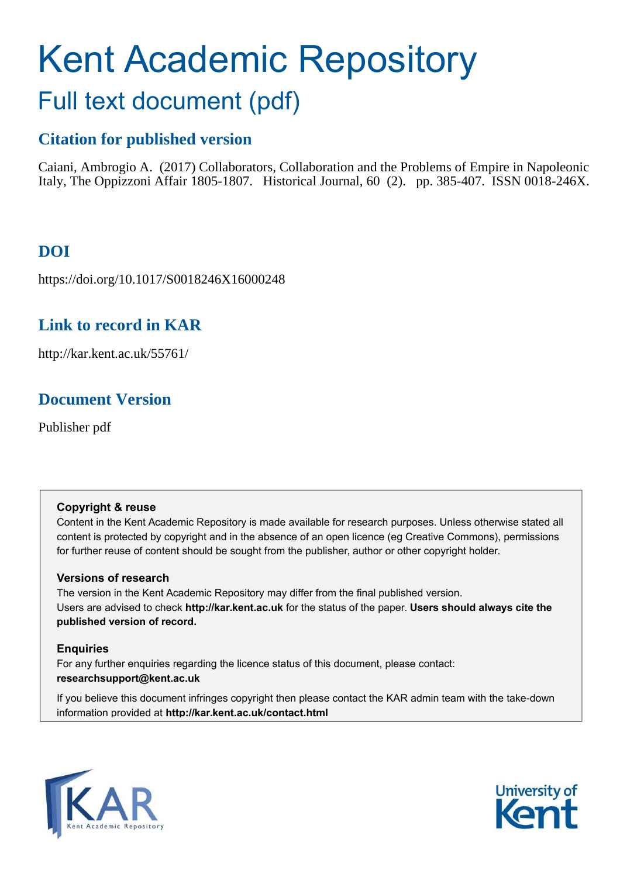# <span id="page-0-0"></span>Kent Academic Repository Full text document (pdf)

## **Citation for published version**

Caiani, Ambrogio A. (2017) Collaborators, Collaboration and the Problems of Empire in Napoleonic Italy, The Oppizzoni Affair 1805-1807. Historical Journal, 60 (2). pp. 385-407. ISSN 0018-246X.

## **DOI**

https://doi.org/10.1017/S0018246X16000248

## **Link to record in KAR**

http://kar.kent.ac.uk/55761/

## **Document Version**

Publisher pdf

### **Copyright & reuse**

Content in the Kent Academic Repository is made available for research purposes. Unless otherwise stated all content is protected by copyright and in the absence of an open licence (eg Creative Commons), permissions for further reuse of content should be sought from the publisher, author or other copyright holder.

### **Versions of research**

The version in the Kent Academic Repository may differ from the final published version. Users are advised to check **http://kar.kent.ac.uk** for the status of the paper. **Users should always cite the published version of record.**

### **Enquiries**

For any further enquiries regarding the licence status of this document, please contact: **researchsupport@kent.ac.uk**

If you believe this document infringes copyright then please contact the KAR admin team with the take-down information provided at **http://kar.kent.ac.uk/contact.html**



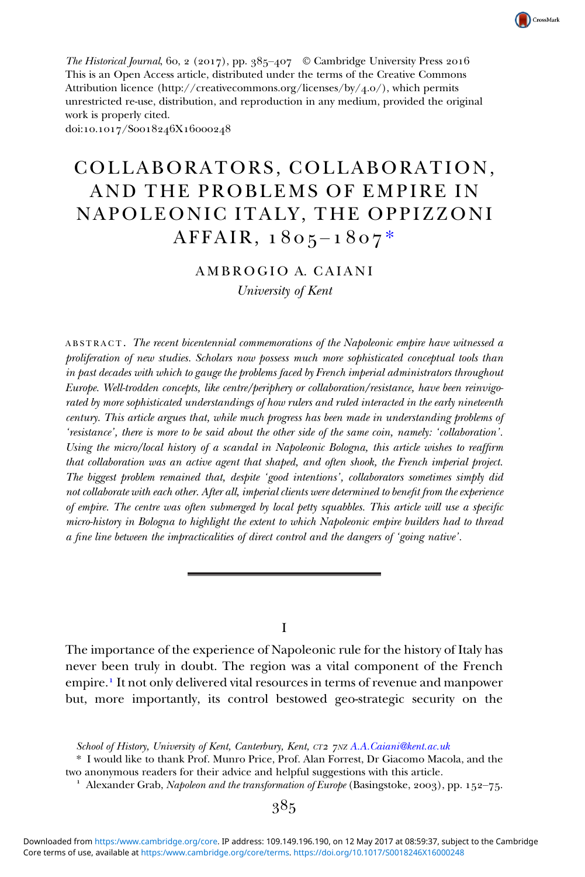

<span id="page-1-0"></span>The Historical Journal, 60, 2 (2017), pp.  $385-407$  © Cambridge University Press 2016 This is an Open Access article, distributed under the terms of the Creative Commons Attribution licence (http://creativecommons.org/licenses/by/4.o/), which permits unrestricted re-use, distribution, and reproduction in any medium, provided the original work is properly cited. doi:10.1017/Soo18246X16000248

## COLLABORATORS, COLLABORATION, AND THE PROBLEMS OF EMPIRE IN NAPOLEONIC ITALY, THE OPPIZZONI  $AFFAIR, 1805-1807*$  $AFFAIR, 1805-1807*$

#### A MBROGIO A. CAIANI University of Kent

ABSTRACT . The recent bicentennial commemorations of the Napoleonic empire have witnessed a proliferation of new studies. Scholars now possess much more sophisticated conceptual tools than in past decades with which to gauge the problems faced by French imperial administrators throughout Europe. Well-trodden concepts, like centre/periphery or collaboration/resistance, have been reinvigorated by more sophisticated understandings of how rulers and ruled interacted in the early nineteenth century. This article argues that, while much progress has been made in understanding problems of 'resistance', there is more to be said about the other side of the same coin, namely: 'collaboration'. Using the micro/local history of a scandal in Napoleonic Bologna, this article wishes to reaffirm that collaboration was an active agent that shaped, and often shook, the French imperial project. The biggest problem remained that, despite 'good intentions', collaborators sometimes simply did not collaborate with each other. After all, imperial clients were determined to benefit from the experience of empire. The centre was often submerged by local petty squabbles. This article will use a specific micro-history in Bologna to highlight the extent to which Napoleonic empire builders had to thread a fine line between the impracticalities of direct control and the dangers of 'going native'.

I

The importance of the experience of Napoleonic rule for the history of Italy has never been truly in doubt. The region was a vital component of the French empire. It not only delivered vital resources in terms of revenue and manpower but, more importantly, its control bestowed geo-strategic security on the

385

School of History, University of Kent, Canterbury, Kent, CT2 7NZ [A.A.Caiani@kent.ac.uk](mailto:A.A.Caiani@kent.ac.uk)

<sup>\*</sup> I would like to thank Prof. Munro Price, Prof. Alan Forrest, Dr Giacomo Macola, and the two anonymous readers for their advice and helpful suggestions with this article.

<sup>&</sup>lt;sup>1</sup> Alexander Grab, Napoleon and the transformation of Europe (Basingstoke, 2003), pp.  $152-75$ .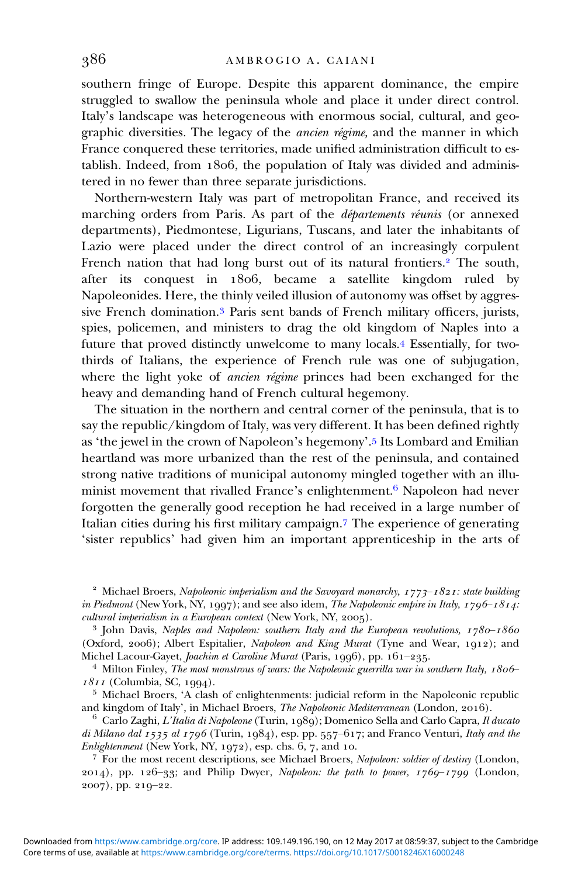<span id="page-2-0"></span>southern fringe of Europe. Despite this apparent dominance, the empire struggled to swallow the peninsula whole and place it under direct control. Italy's landscape was heterogeneous with enormous social, cultural, and geographic diversities. The legacy of the ancien régime, and the manner in which France conquered these territories, made unified administration difficult to es $tabilish. Indeed, from 1806, the population of Italy was divided and adminis$ tered in no fewer than three separate jurisdictions.

Northern-western Italy was part of metropolitan France, and received its marching orders from Paris. As part of the départements réunis (or annexed departments), Piedmontese, Ligurians, Tuscans, and later the inhabitants of Lazio were placed under the direct control of an increasingly corpulent French nation that had long burst out of its natural frontiers.<sup>2</sup> The south, after its conquest in  $1806$ , became a satellite kingdom ruled by Napoleonides. Here, the thinly veiled illusion of autonomy was offset by aggressive French domination.<sup>3</sup> Paris sent bands of French military officers, jurists, spies, policemen, and ministers to drag the old kingdom of Naples into a future that proved distinctly unwelcome to many locals.<sup>4</sup> Essentially, for twothirds of Italians, the experience of French rule was one of subjugation, where the light yoke of *ancien régime* princes had been exchanged for the heavy and demanding hand of French cultural hegemony.

The situation in the northern and central corner of the peninsula, that is to say the republic/kingdom of Italy, was very different. It has been defined rightly as 'the jewel in the crown of Napoleon's hegemony'.<sup>5</sup> Its Lombard and Emilian heartland was more urbanized than the rest of the peninsula, and contained strong native traditions of municipal autonomy mingled together with an illuminist movement that rivalled France's enlightenment. $6$  Napoleon had never forgotten the generally good reception he had received in a large number of Italian cities during his first military campaign.<sup>7</sup> The experience of generating 'sister republics' had given him an important apprenticeship in the arts of

<sup>2</sup> Michael Broers, Napoleonic imperialism and the Savoyard monarchy,  $1773-1821$ : state building in Piedmont (New York, NY, 1997); and see also idem, The Napoleonic empire in Italy,  $1796 - 1814$ : cultural imperialism in a European context (New York, NY,  $2005$ ).

 $3$  John Davis, Naples and Napoleon: southern Italy and the European revolutions,  $1780-1860$ (Oxford, 2006); Albert Espitalier, Napoleon and King Murat (Tyne and Wear, 1912); and Michel Lacour-Gayet, Joachim et Caroline Murat (Paris, 1996), pp. 161-235.

 $4$  Milton Finley, The most monstrous of wars: the Napoleonic guerrilla war in southern Italy, 1806–  $1811$  (Columbia, SC, 1994).

<sup>5</sup> Michael Broers, 'A clash of enlightenments: judicial reform in the Napoleonic republic and kingdom of Italy', in Michael Broers, The Napoleonic Mediterranean (London, 2016).

 $6$  Carlo Zaghi, *L'Italia di Napoleone* (Turin, 1989); Domenico Sella and Carlo Capra, Il ducato di Milano dal 1535 al 1796 (Turin, 1984), esp. pp. 557–617; and Franco Venturi, Italy and the Enlightenment (New York, NY,  $1972$ ), esp. chs.  $6, 7$ , and  $10$ .

<sup>7</sup> For the most recent descriptions, see Michael Broers, Napoleon: soldier of destiny (London, 2014), pp. 126-33; and Philip Dwyer, Napoleon: the path to power,  $1769-1799$  (London,  $(2007)$ , pp.  $219-22$ .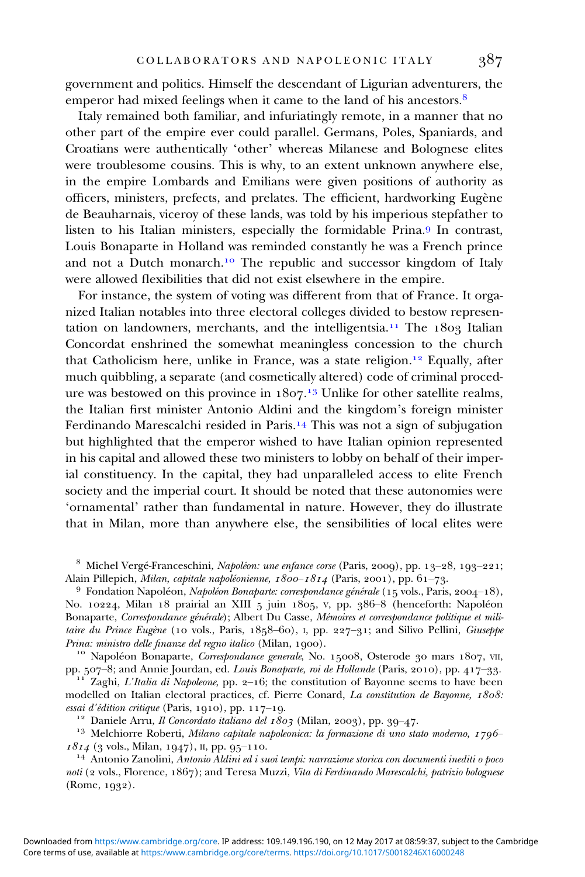<span id="page-3-0"></span>government and politics. Himself the descendant of Ligurian adventurers, the emperor had mixed feelings when it came to the land of his ancestors.<sup>8</sup>

Italy remained both familiar, and infuriatingly remote, in a manner that no other part of the empire ever could parallel. Germans, Poles, Spaniards, and Croatians were authentically 'other' whereas Milanese and Bolognese elites were troublesome cousins. This is why, to an extent unknown anywhere else, in the empire Lombards and Emilians were given positions of authority as officers, ministers, prefects, and prelates. The efficient, hardworking Eugène de Beauharnais, viceroy of these lands, was told by his imperious stepfather to listen to his Italian ministers, especially the formidable Prina.<sup>9</sup> In contrast, Louis Bonaparte in Holland was reminded constantly he was a French prince and not a Dutch monarch.<sup>10</sup> The republic and successor kingdom of Italy were allowed flexibilities that did not exist elsewhere in the empire.

For instance, the system of voting was different from that of France. It organized Italian notables into three electoral colleges divided to bestow representation on landowners, merchants, and the intelligentsia.<sup>11</sup> The  $1803$  Italian Concordat enshrined the somewhat meaningless concession to the church that Catholicism here, unlike in France, was a state religion.<sup>12</sup> Equally, after much quibbling, a separate (and cosmetically altered) code of criminal procedure was bestowed on this province in 1807.<sup>13</sup> Unlike for other satellite realms, the Italian first minister Antonio Aldini and the kingdom's foreign minister Ferdinando Marescalchi resided in Paris.<sup>14</sup> This was not a sign of subjugation but highlighted that the emperor wished to have Italian opinion represented in his capital and allowed these two ministers to lobby on behalf of their imperial constituency. In the capital, they had unparalleled access to elite French society and the imperial court. It should be noted that these autonomies were 'ornamental' rather than fundamental in nature. However, they do illustrate that in Milan, more than anywhere else, the sensibilities of local elites were

<sup>8</sup> Michel Vergé-Franceschini, Napoléon: une enfance corse (Paris, 2009), pp. 13-28, 193-221; Alain Pillepich, Milan, capitale napoléonienne, 1800-1814 (Paris, 2001), pp. 61-73.

<sup>9</sup> Fondation Napoléon, Napoléon Bonaparte: correspondance générale (15 vols., Paris, 2004-18), No. 10224, Milan 18 prairial an XIII 5 juin 1805, v, pp. 386-8 (henceforth: Napoléon Bonaparte, Correspondance générale); Albert Du Casse, Mémoires et correspondance politique et militaire du Prince Eugène (10 vols., Paris,  $1858-60$ ), I, pp.  $227-31$ ; and Silivo Pellini, Giuseppe Prina: ministro delle finanze del regno italico (Milan, 1900).

<sup>10</sup> Napoléon Bonaparte, Correspondance generale, No. 15008, Osterode 30 mars 1807, VII, pp. 507–8; and Annie Jourdan, ed. Louis Bonaparte, roi de Hollande (Paris, 2010), pp. 417–33.

Zaghi, L'Italia di Napoleone, pp. 2-16; the constitution of Bayonne seems to have been modelled on Italian electoral practices, cf. Pierre Conard, La constitution de Bayonne, 1808: essai d'édition critique (Paris, 1910), pp. 117-19.

<sup>12</sup> Daniele Arru, *Il Concordato italiano del 1803* (Milan, 2003), pp. 39-47.

<sup>13</sup> Melchiorre Roberti, Milano capitale napoleonica: la formazione di uno stato moderno,  $1796 1814$  (3 vols., Milan, 1947), II, pp. 95-110.

 $14$  Antonio Zanolini, Antonio Aldini ed i suoi tempi: narrazione storica con documenti inediti o poco noti (2 vols., Florence, 1867); and Teresa Muzzi, Vita di Ferdinando Marescalchi, patrizio bolognese  $(Rome, 1932).$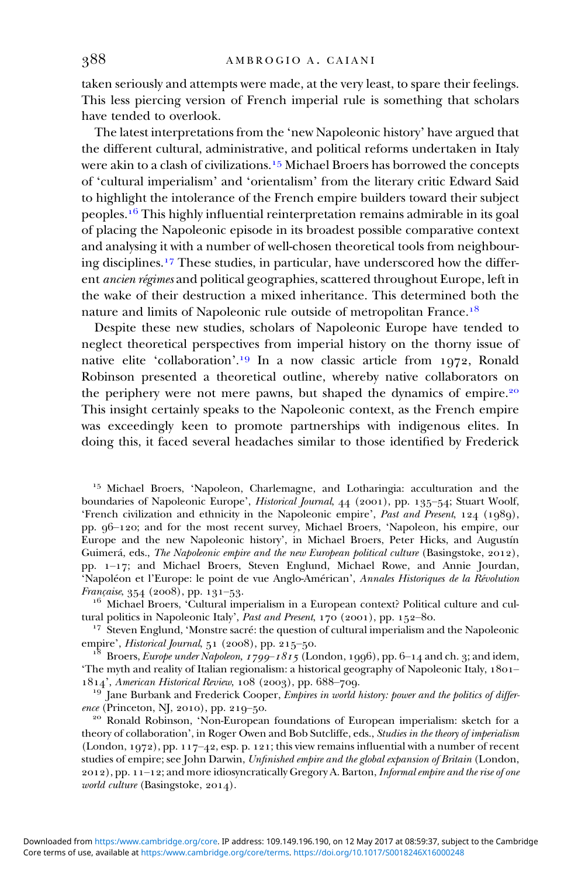taken seriously and attempts were made, at the very least, to spare their feelings. This less piercing version of French imperial rule is something that scholars have tended to overlook.

The latest interpretations from the 'new Napoleonic history' have argued that the different cultural, administrative, and political reforms undertaken in Italy were akin to a clash of civilizations.<sup>15</sup> Michael Broers has borrowed the concepts of 'cultural imperialism' and 'orientalism' from the literary critic Edward Said to highlight the intolerance of the French empire builders toward their subject peoples.<sup>16</sup> This highly influential reinterpretation remains admirable in its goal of placing the Napoleonic episode in its broadest possible comparative context and analysing it with a number of well-chosen theoretical tools from neighbouring disciplines.<sup>17</sup> These studies, in particular, have underscored how the different ancien régimes and political geographies, scattered throughout Europe, left in the wake of their destruction a mixed inheritance. This determined both the nature and limits of Napoleonic rule outside of metropolitan France.<sup>18</sup>

Despite these new studies, scholars of Napoleonic Europe have tended to neglect theoretical perspectives from imperial history on the thorny issue of native elite 'collaboration'.<sup>19</sup> In a now classic article from 1972, Ronald Robinson presented a theoretical outline, whereby native collaborators on the periphery were not mere pawns, but shaped the dynamics of empire.<sup>20</sup> This insight certainly speaks to the Napoleonic context, as the French empire was exceedingly keen to promote partnerships with indigenous elites. In doing this, it faced several headaches similar to those identified by Frederick

<sup>15</sup> Michael Broers, 'Napoleon, Charlemagne, and Lotharingia: acculturation and the boundaries of Napoleonic Europe', *Historical Journal*,  $44$  (2001), pp. 135–54; Stuart Woolf, 'French civilization and ethnicity in the Napoleonic empire', Past and Present,  $124$  ( $1989$ ), pp. 96-120; and for the most recent survey, Michael Broers, 'Napoleon, his empire, our Europe and the new Napoleonic history', in Michael Broers, Peter Hicks, and Augustín Guimerá, eds., The Napoleonic empire and the new European political culture (Basingstoke, 2012), pp. 1-17; and Michael Broers, Steven Englund, Michael Rowe, and Annie Jourdan, 'Napoléon et l'Europe: le point de vue Anglo-Américan', Annales Historiques de la Révolution Française, 354 (2008), pp. 131-53.

<sup>16</sup> Michael Broers, 'Cultural imperialism in a European context? Political culture and cultural politics in Napoleonic Italy', Past and Present,  $170$  (2001), pp.  $152-80$ .

 $17\text{}$  Steven Englund, 'Monstre sacré: the question of cultural imperialism and the Napoleonic empire', Historical Journal, 51 (2008), pp. 215-50.

<sup>18</sup> Broers, *Europe under Napoleon, 1799–1815* (London, 1996), pp. 6–14 and ch. 3; and idem, 'The myth and reality of Italian regionalism: a historical geography of Napoleonic Italy, – 1814', American Historical Review, 108 (2003), pp. 688-709.

 $\frac{19}{19}$  Jane Burbank and Frederick Cooper, *Empires in world history: power and the politics of differ*ence (Princeton, NJ, 2010), pp. 219-50.

<sup>20</sup> Ronald Robinson, 'Non-European foundations of European imperialism: sketch for a theory of collaboration', in Roger Owen and Bob Sutcliffe, eds., Studies in the theory of imperialism (London, 1972), pp.  $117-42$ , esp. p. 121; this view remains influential with a number of recent studies of empire; see John Darwin, Unfinished empire and the global expansion of Britain (London, 2012), pp. 11-12; and more idiosyncratically Gregory A. Barton, Informal empire and the rise of one world culture (Basingstoke, 2014).

<span id="page-4-0"></span>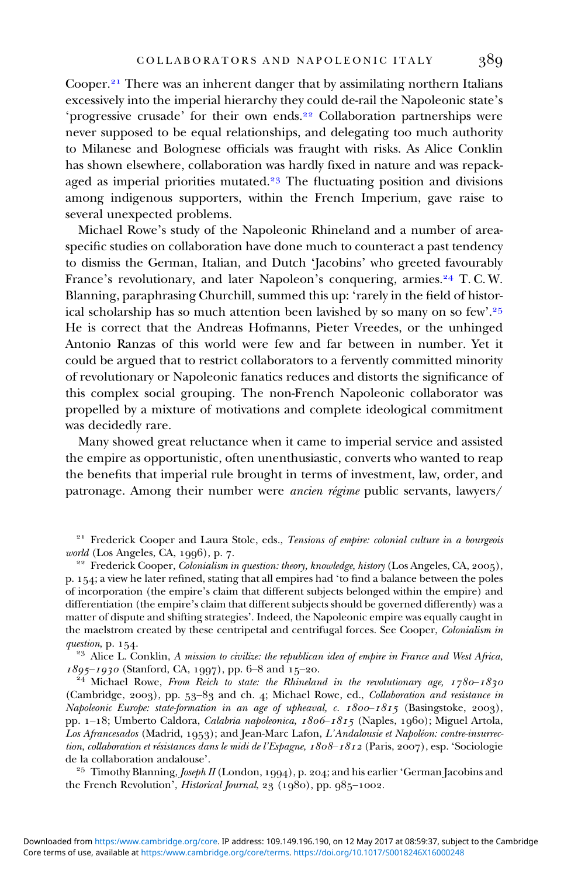<span id="page-5-0"></span>Cooper. $21$  There was an inherent danger that by assimilating northern Italians excessively into the imperial hierarchy they could de-rail the Napoleonic state's 'progressive crusade' for their own ends.<sup>22</sup> Collaboration partnerships were never supposed to be equal relationships, and delegating too much authority to Milanese and Bolognese officials was fraught with risks. As Alice Conklin has shown elsewhere, collaboration was hardly fixed in nature and was repackaged as imperial priorities mutated. $23$  The fluctuating position and divisions among indigenous supporters, within the French Imperium, gave raise to several unexpected problems.

Michael Rowe's study of the Napoleonic Rhineland and a number of areaspecific studies on collaboration have done much to counteract a past tendency to dismiss the German, Italian, and Dutch 'Jacobins' who greeted favourably France's revolutionary, and later Napoleon's conquering, armies.<sup>24</sup> T.C.W. Blanning, paraphrasing Churchill, summed this up: 'rarely in the field of historical scholarship has so much attention been lavished by so many on so few'.<sup>25</sup> He is correct that the Andreas Hofmanns, Pieter Vreedes, or the unhinged Antonio Ranzas of this world were few and far between in number. Yet it could be argued that to restrict collaborators to a fervently committed minority of revolutionary or Napoleonic fanatics reduces and distorts the significance of this complex social grouping. The non-French Napoleonic collaborator was propelled by a mixture of motivations and complete ideological commitment was decidedly rare.

Many showed great reluctance when it came to imperial service and assisted the empire as opportunistic, often unenthusiastic, converts who wanted to reap the benefits that imperial rule brought in terms of investment, law, order, and patronage. Among their number were ancien régime public servants, lawyers/

 $21$  Frederick Cooper and Laura Stole, eds., Tensions of empire: colonial culture in a bourgeois world (Los Angeles, CA, 1996), p. 7.

<sup>22</sup> Frederick Cooper, *Colonialism in question: theory, knowledge, history* (Los Angeles, CA, 2005), p. 154; a view he later refined, stating that all empires had 'to find a balance between the poles of incorporation (the empire's claim that different subjects belonged within the empire) and differentiation (the empire's claim that different subjects should be governed differently) was a matter of dispute and shifting strategies'. Indeed, the Napoleonic empire was equally caught in the maelstrom created by these centripetal and centrifugal forces. See Cooper, Colonialism in question, p. 154.

 $23$  Alice L. Conklin, A mission to civilize: the republican idea of empire in France and West Africa,  $1895 - 1930$  (Stanford, CA, 1997), pp. 6-8 and 15-20.

<sup>24</sup> Michael Rowe, From Reich to state: the Rhineland in the revolutionary age,  $1780 - 1830$ (Cambridge, 2003), pp. 53-83 and ch. 4; Michael Rowe, ed., Collaboration and resistance in Napoleonic Europe: state-formation in an age of upheaval, c.  $1800-1815$  (Basingstoke, 2003), pp. 1-18; Umberto Caldora, Calabria napoleonica, 1806-1815 (Naples, 1960); Miguel Artola, Los Afrancesados (Madrid, 1953); and Jean-Marc Lafon, L'Andalousie et Napoléon: contre-insurrection, collaboration et résistances dans le midi de l'Espagne, 1808-1812 (Paris, 2007), esp. 'Sociologie de la collaboration andalouse'.

<sup>25</sup> Timothy Blanning, *Joseph II* (London, 1994), p. 204; and his earlier 'German Jacobins and the French Revolution', *Historical Journal*,  $23$  (1980), pp. 985-1002.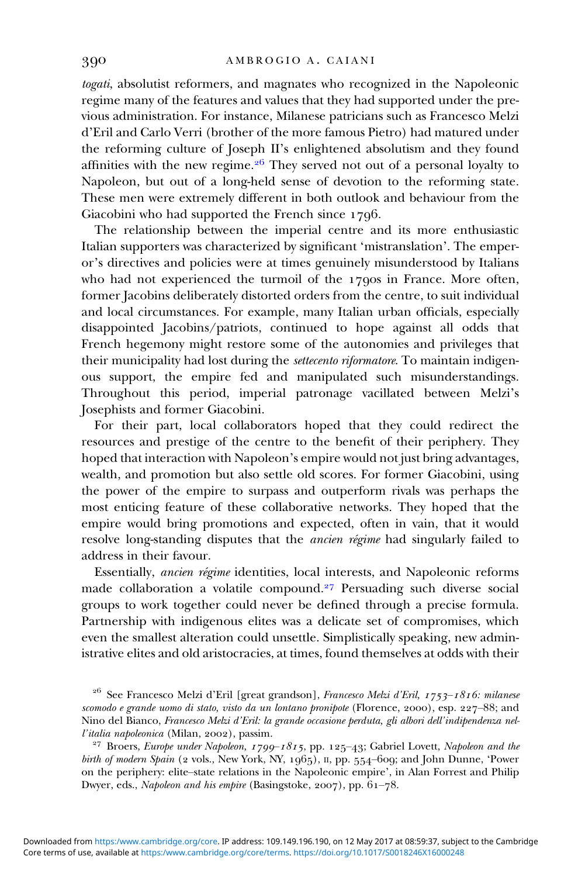<span id="page-6-0"></span>togati, absolutist reformers, and magnates who recognized in the Napoleonic regime many of the features and values that they had supported under the previous administration. For instance, Milanese patricians such as Francesco Melzi d'Eril and Carlo Verri (brother of the more famous Pietro) had matured under the reforming culture of Joseph II's enlightened absolutism and they found affinities with the new regime. $26$  They served not out of a personal loyalty to Napoleon, but out of a long-held sense of devotion to the reforming state. These men were extremely different in both outlook and behaviour from the Giacobini who had supported the French since  $1796$ .

The relationship between the imperial centre and its more enthusiastic Italian supporters was characterized by significant 'mistranslation'. The emperor's directives and policies were at times genuinely misunderstood by Italians who had not experienced the turmoil of the  $1790s$  in France. More often, former Jacobins deliberately distorted orders from the centre, to suit individual and local circumstances. For example, many Italian urban officials, especially disappointed Jacobins/patriots, continued to hope against all odds that French hegemony might restore some of the autonomies and privileges that their municipality had lost during the *settecento riformatore*. To maintain indigenous support, the empire fed and manipulated such misunderstandings. Throughout this period, imperial patronage vacillated between Melzi's Josephists and former Giacobini.

For their part, local collaborators hoped that they could redirect the resources and prestige of the centre to the benefit of their periphery. They hoped that interaction with Napoleon's empire would not just bring advantages, wealth, and promotion but also settle old scores. For former Giacobini, using the power of the empire to surpass and outperform rivals was perhaps the most enticing feature of these collaborative networks. They hoped that the empire would bring promotions and expected, often in vain, that it would resolve long-standing disputes that the ancien régime had singularly failed to address in their favour.

Essentially, ancien régime identities, local interests, and Napoleonic reforms made collaboration a volatile compound.<sup>27</sup> Persuading such diverse social groups to work together could never be defined through a precise formula. Partnership with indigenous elites was a delicate set of compromises, which even the smallest alteration could unsettle. Simplistically speaking, new administrative elites and old aristocracies, at times, found themselves at odds with their

<sup>&</sup>lt;sup>26</sup> See Francesco Melzi d'Eril [great grandson], Francesco Melzi d'Eril, 1753–1816: milanese scomodo e grande uomo di stato, visto da un lontano pronipote (Florence, 2000), esp. 227-88; and Nino del Bianco, Francesco Melzi d'Eril: la grande occasione perduta, gli albori dell'indipendenza nell'italia napoleonica (Milan, 2002), passim.

<sup>&</sup>lt;sup>27</sup> Broers, Europe under Napoleon, 1799–1815, pp. 125–43; Gabriel Lovett, Napoleon and the birth of modern Spain (2 vols., New York, NY, 1965), II, pp.  $554-6$ 09; and John Dunne, 'Power on the periphery: elite–state relations in the Napoleonic empire', in Alan Forrest and Philip Dwyer, eds., Napoleon and his empire (Basingstoke, 2007), pp.  $61-78$ .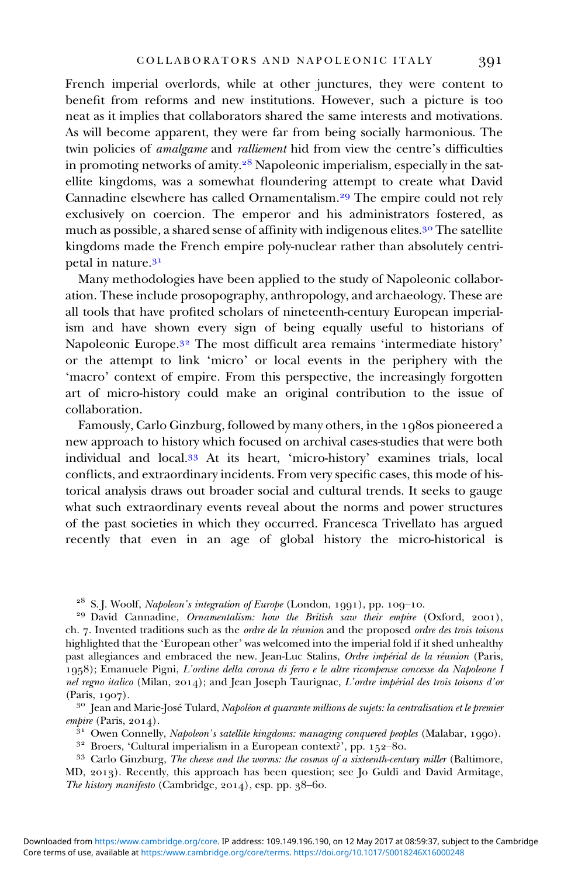<span id="page-7-0"></span>French imperial overlords, while at other junctures, they were content to benefit from reforms and new institutions. However, such a picture is too neat as it implies that collaborators shared the same interests and motivations. As will become apparent, they were far from being socially harmonious. The twin policies of *amalgame* and *ralliement* hid from view the centre's difficulties in promoting networks of amity. $28$  Napoleonic imperialism, especially in the satellite kingdoms, was a somewhat floundering attempt to create what David Cannadine elsewhere has called Ornamentalism.<sup>29</sup> The empire could not rely exclusively on coercion. The emperor and his administrators fostered, as much as possible, a shared sense of affinity with indigenous elites.<sup>30</sup> The satellite kingdoms made the French empire poly-nuclear rather than absolutely centripetal in nature.

Many methodologies have been applied to the study of Napoleonic collaboration. These include prosopography, anthropology, and archaeology. These are all tools that have profited scholars of nineteenth-century European imperialism and have shown every sign of being equally useful to historians of Napoleonic Europe.<sup>32</sup> The most difficult area remains 'intermediate history' or the attempt to link 'micro' or local events in the periphery with the 'macro' context of empire. From this perspective, the increasingly forgotten art of micro-history could make an original contribution to the issue of collaboration.

Famously, Carlo Ginzburg, followed by many others, in the 1980s pioneered a new approach to history which focused on archival cases-studies that were both individual and local.<sup>33</sup> At its heart, 'micro-history' examines trials, local conflicts, and extraordinary incidents. From very specific cases, this mode of historical analysis draws out broader social and cultural trends. It seeks to gauge what such extraordinary events reveal about the norms and power structures of the past societies in which they occurred. Francesca Trivellato has argued recently that even in an age of global history the micro-historical is

<sup>30</sup> Jean and Marie-José Tulard, Napoléon et quarante millions de sujets: la centralisation et le premier  $empire$  (Paris,  $2014$ ).

 $3<sup>1</sup>$  Owen Connelly, Napoleon's satellite kingdoms: managing conquered peoples (Malabar, 1990).

 $3<sup>2</sup>$  Broers, 'Cultural imperialism in a European context?', pp. 152-80.

 $33$  Carlo Ginzburg, The cheese and the worms: the cosmos of a sixteenth-century miller (Baltimore, MD, 2013). Recently, this approach has been question; see Jo Guldi and David Armitage, The history manifesto (Cambridge,  $2014$ ), esp. pp.  $38-60$ .

 $28$  S. J. Woolf, Napoleon's integration of Europe (London, 1991), pp. 109-10.

<sup>&</sup>lt;sup>29</sup> David Cannadine, Ornamentalism: how the British saw their empire (Oxford, 2001), ch. 7. Invented traditions such as the *ordre de la réunion* and the proposed *ordre des trois toisons* highlighted that the 'European other' was welcomed into the imperial fold if it shed unhealthy past allegiances and embraced the new. Jean-Luc Stalins, Ordre impérial de la réunion (Paris, 1958); Emanuele Pigni, L'ordine della corona di ferro e le altre ricompense concesse da Napoleone I nel regno italico (Milan, 2014); and Jean Joseph Taurignac, L'ordre impérial des trois toisons d'or  $(Paris, 1907).$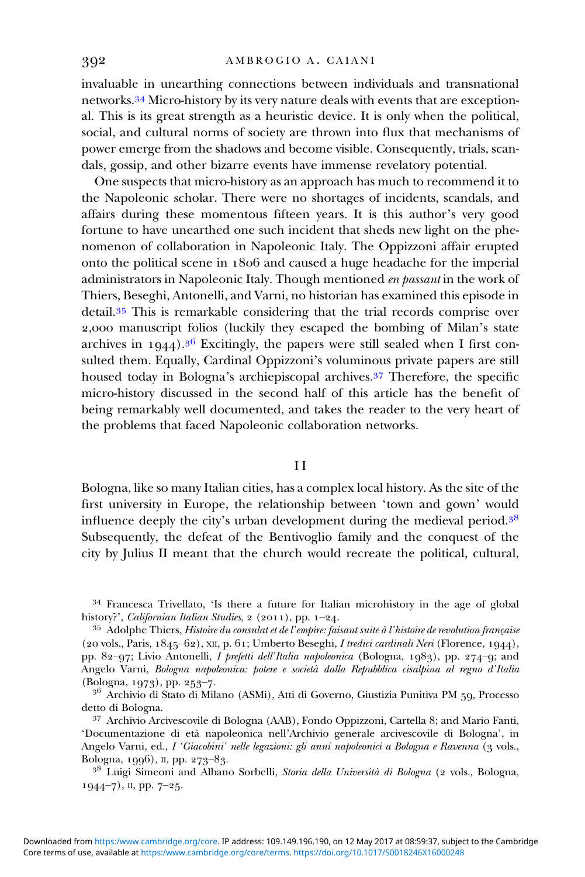<span id="page-8-0"></span>invaluable in unearthing connections between individuals and transnational networks.<sup>34</sup> Micro-history by its very nature deals with events that are exceptional. This is its great strength as a heuristic device. It is only when the political, social, and cultural norms of society are thrown into flux that mechanisms of power emerge from the shadows and become visible. Consequently, trials, scandals, gossip, and other bizarre events have immense revelatory potential.

One suspects that micro-history as an approach has much to recommend it to the Napoleonic scholar. There were no shortages of incidents, scandals, and affairs during these momentous fifteen years. It is this author's very good fortune to have unearthed one such incident that sheds new light on the phenomenon of collaboration in Napoleonic Italy. The Oppizzoni affair erupted onto the political scene in  $1806$  and caused a huge headache for the imperial administrators in Napoleonic Italy. Though mentioned en passant in the work of Thiers, Beseghi, Antonelli, and Varni, no historian has examined this episode in detail.<sup>35</sup> This is remarkable considering that the trial records comprise over 2,000 manuscript folios (luckily they escaped the bombing of Milan's state archives in  $1944$ ).<sup>36</sup> Excitingly, the papers were still sealed when I first consulted them. Equally, Cardinal Oppizzoni's voluminous private papers are still housed today in Bologna's archiepiscopal archives.<sup>37</sup> Therefore, the specific micro-history discussed in the second half of this article has the benefit of being remarkably well documented, and takes the reader to the very heart of the problems that faced Napoleonic collaboration networks.

#### I I

Bologna, like so many Italian cities, has a complex local history. As the site of the first university in Europe, the relationship between 'town and gown' would influence deeply the city's urban development during the medieval period. $3<sup>8</sup>$ Subsequently, the defeat of the Bentivoglio family and the conquest of the city by Julius II meant that the church would recreate the political, cultural,

<sup>37</sup> Archivio Arcivescovile di Bologna (AAB), Fondo Oppizzoni, Cartella 8; and Mario Fanti, 'Documentazione di età napoleonica nell'Archivio generale arcivescovile di Bologna', in Angelo Varni, ed., I 'Giacobini' nelle legazioni: gli anni napoleonici a Bologna e Ravenna (3 vols., Bologna,  $1996$ , II, pp.  $273-83$ .

 $3^8$  Luigi Simeoni and Albano Sorbelli, *Storia della Università di Bologna* (2 vols., Bologna,  $1944 - 7$ , II, pp.  $7 - 25$ .

<sup>&</sup>lt;sup>34</sup> Francesca Trivellato, 'Is there a future for Italian microhistory in the age of global history?', Californian Italian Studies,  $2(2011)$ , pp. 1-24.

 $35$  Adolphe Thiers, Histoire du consulat et de l'empire: faisant suite à l'histoire de revolution française (20 vols., Paris,  $1845-62$ ), XII, p. 61; Umberto Beseghi, *I tredici cardinali Neri* (Florence, 1944), pp. 82-97; Livio Antonelli, I prefetti dell'Italia napoleonica (Bologna, 1983), pp. 274-9; and Angelo Varni, Bologna napoleonica: potere e società dalla Repubblica cisalpina al regno d'Italia (Bologna, 1973), pp. 253-7.

<sup>&</sup>lt;sup>36</sup> Archivio di Stato di Milano (ASMi), Atti di Governo, Giustizia Punitiva PM 59, Processo detto di Bologna.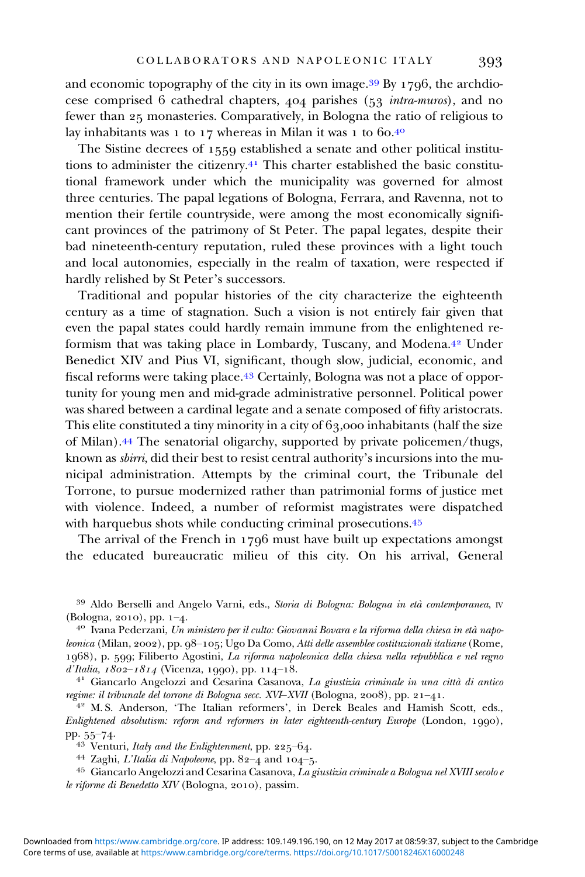<span id="page-9-0"></span>and economic topography of the city in its own image.<sup>39</sup> By  $1796$ , the archdiocese comprised 6 cathedral chapters,  $404$  parishes ( $53$  *intra-muros*), and no fewer than 25 monasteries. Comparatively, in Bologna the ratio of religious to lay inhabitants was 1 to 17 whereas in Milan it was 1 to  $60.^{40}$ 

The Sistine decrees of  $1559$  established a senate and other political institutions to administer the citizenry. $4<sup>1</sup>$  This charter established the basic constitutional framework under which the municipality was governed for almost three centuries. The papal legations of Bologna, Ferrara, and Ravenna, not to mention their fertile countryside, were among the most economically significant provinces of the patrimony of St Peter. The papal legates, despite their bad nineteenth-century reputation, ruled these provinces with a light touch and local autonomies, especially in the realm of taxation, were respected if hardly relished by St Peter's successors.

Traditional and popular histories of the city characterize the eighteenth century as a time of stagnation. Such a vision is not entirely fair given that even the papal states could hardly remain immune from the enlightened reformism that was taking place in Lombardy, Tuscany, and Modena.<sup>42</sup> Under Benedict XIV and Pius VI, significant, though slow, judicial, economic, and fiscal reforms were taking place.<sup>43</sup> Certainly, Bologna was not a place of opportunity for young men and mid-grade administrative personnel. Political power was shared between a cardinal legate and a senate composed of fifty aristocrats. This elite constituted a tiny minority in a city of  $63,000$  inhabitants (half the size of Milan).<sup>44</sup> The senatorial oligarchy, supported by private policemen/thugs, known as sbirri, did their best to resist central authority's incursions into the municipal administration. Attempts by the criminal court, the Tribunale del Torrone, to pursue modernized rather than patrimonial forms of justice met with violence. Indeed, a number of reformist magistrates were dispatched with harquebus shots while conducting criminal prosecutions.<sup>45</sup>

The arrival of the French in  $1796$  must have built up expectations amongst the educated bureaucratic milieu of this city. On his arrival, General

<sup>39</sup> Aldo Berselli and Angelo Varni, eds., Storia di Bologna: Bologna in età contemporanea, IV  $(Bologna, 2010), pp. 1-4.$ 

 $1^{40}$  Ivana Pederzani, Un ministero per il culto: Giovanni Bovara e la riforma della chiesa in età napoleonica (Milan, 2002), pp. 98-105; Ugo Da Como, Atti delle assemblee costituzionali italiane (Rome, ), p. ; Filiberto Agostini, La riforma napoleonica della chiesa nella repubblica e nel regno  $d'Italia, 1802 - 1814$  (Vicenza, 1990), pp. 114-18.

<sup>41</sup> Giancarlo Angelozzi and Cesarina Casanova, La giustizia criminale in una città di antico regime: il tribunale del torrone di Bologna secc. XVI–XVII (Bologna, 2008), pp. 21–41.

<sup>42</sup> M.S. Anderson, 'The Italian reformers', in Derek Beales and Hamish Scott, eds., Enlightened absolutism: reform and reformers in later eighteenth-century Europe (London, 1990), pp. 55-74.

 $43$  Venturi, Italy and the Enlightenment, pp. 225-64.

 $44$  Zaghi, L'Italia di Napoleone, pp. 82-4 and 104-5.

<sup>45</sup> Giancarlo Angelozzi and Cesarina Casanova, La giustizia criminale a Bologna nel XVIII secolo e le riforme di Benedetto XIV (Bologna, 2010), passim.

Core terms of use, available at <https:/www.cambridge.org/core/terms>.<https://doi.org/10.1017/S0018246X16000248> Downloaded from <https:/www.cambridge.org/core>. IP address: 109.149.196.190, on 12 May 2017 at 08:59:37, subject to the Cambridge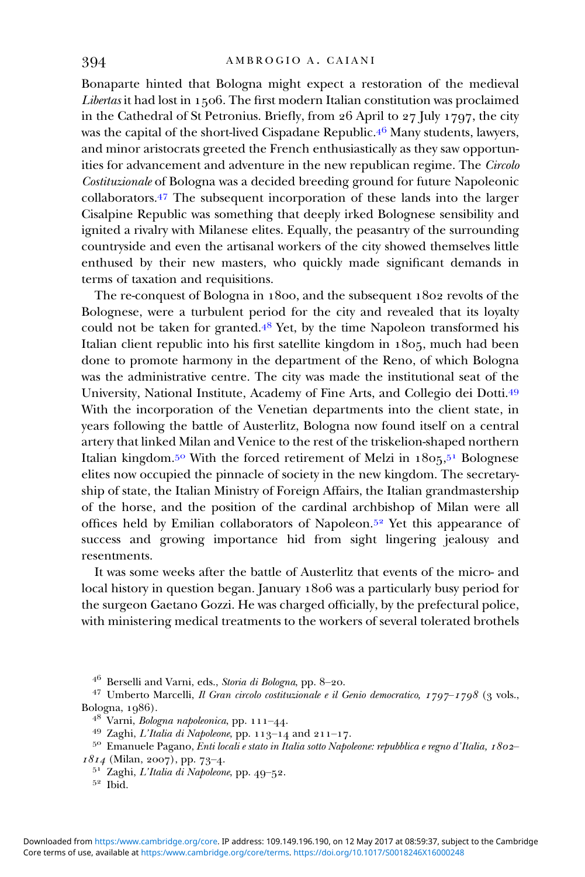<span id="page-10-0"></span>Bonaparte hinted that Bologna might expect a restoration of the medieval Libertas it had lost in  $1506$ . The first modern Italian constitution was proclaimed in the Cathedral of St Petronius. Briefly, from  $26$  April to  $27$  July 1797, the city was the capital of the short-lived Cispadane Republic.<sup>46</sup> Many students, lawyers, and minor aristocrats greeted the French enthusiastically as they saw opportunities for advancement and adventure in the new republican regime. The Circolo Costituzionale of Bologna was a decided breeding ground for future Napoleonic collaborators.<sup>47</sup> The subsequent incorporation of these lands into the larger Cisalpine Republic was something that deeply irked Bolognese sensibility and ignited a rivalry with Milanese elites. Equally, the peasantry of the surrounding countryside and even the artisanal workers of the city showed themselves little enthused by their new masters, who quickly made significant demands in terms of taxation and requisitions.

The re-conquest of Bologna in  $1800$ , and the subsequent  $1802$  revolts of the Bolognese, were a turbulent period for the city and revealed that its loyalty could not be taken for granted. $4^8$  Yet, by the time Napoleon transformed his Italian client republic into his first satellite kingdom in  $1805$ , much had been done to promote harmony in the department of the Reno, of which Bologna was the administrative centre. The city was made the institutional seat of the University, National Institute, Academy of Fine Arts, and Collegio dei Dotti. With the incorporation of the Venetian departments into the client state, in years following the battle of Austerlitz, Bologna now found itself on a central artery that linked Milan and Venice to the rest of the triskelion-shaped northern Italian kingdom.<sup>50</sup> With the forced retirement of Melzi in 1805,<sup>51</sup> Bolognese elites now occupied the pinnacle of society in the new kingdom. The secretaryship of state, the Italian Ministry of Foreign Affairs, the Italian grandmastership of the horse, and the position of the cardinal archbishop of Milan were all offices held by Emilian collaborators of Napoleon.<sup>52</sup> Yet this appearance of success and growing importance hid from sight lingering jealousy and resentments.

It was some weeks after the battle of Austerlitz that events of the micro- and local history in question began. January 1806 was a particularly busy period for the surgeon Gaetano Gozzi. He was charged officially, by the prefectural police, with ministering medical treatments to the workers of several tolerated brothels

 $4^6$  Berselli and Varni, eds., Storia di Bologna, pp. 8–20.

<sup>47</sup> Umberto Marcelli, *Il Gran circolo costituzionale e il Genio democratico, 1797–1798* (3 vols., Bologna, 1986).

5º Emanuele Pagano, Enti locali e stato in Italia sotto Napoleone: repubblica e regno d'Italia, 1802-

 $5<sup>2</sup>$  Ibid.

 $4^8$  Varni, *Bologna napoleonica*, pp.  $111-44$ .

<sup>&</sup>lt;sup>49</sup> Zaghi, *L'Italia di Napoleone*, pp.  $113-14$  and  $211-17$ .

 $1814$  (Milan, 2007), pp. 73-4.

 $5^1$  Zaghi, L'Italia di Napoleone, pp. 49–52.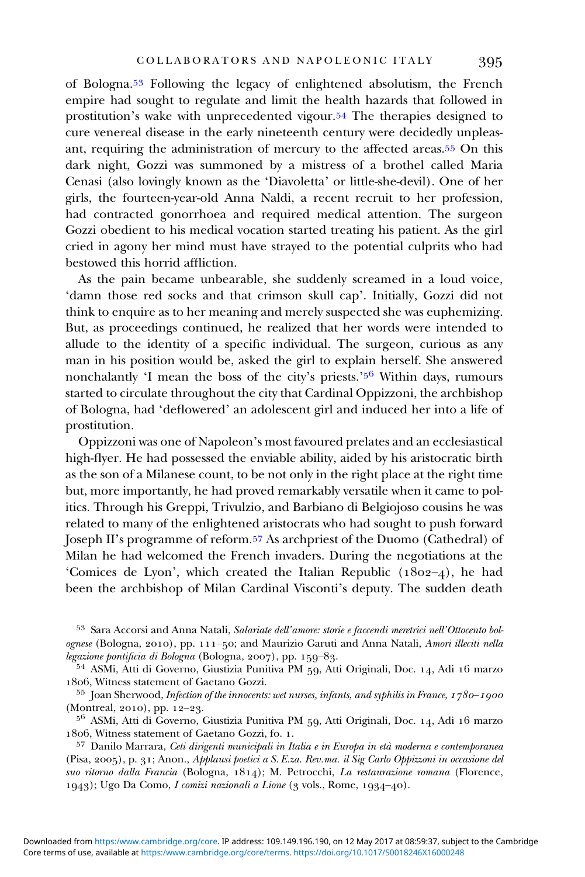<span id="page-11-0"></span>of Bologna.<sup>53</sup> Following the legacy of enlightened absolutism, the French empire had sought to regulate and limit the health hazards that followed in prostitution's wake with unprecedented vigour.<sup>54</sup> The therapies designed to cure venereal disease in the early nineteenth century were decidedly unpleasant, requiring the administration of mercury to the affected areas.<sup>55</sup> On this dark night, Gozzi was summoned by a mistress of a brothel called Maria Cenasi (also lovingly known as the 'Diavoletta' or little-she-devil). One of her girls, the fourteen-year-old Anna Naldi, a recent recruit to her profession, had contracted gonorrhoea and required medical attention. The surgeon Gozzi obedient to his medical vocation started treating his patient. As the girl cried in agony her mind must have strayed to the potential culprits who had bestowed this horrid affliction.

As the pain became unbearable, she suddenly screamed in a loud voice, 'damn those red socks and that crimson skull cap'. Initially, Gozzi did not think to enquire as to her meaning and merely suspected she was euphemizing. But, as proceedings continued, he realized that her words were intended to allude to the identity of a specific individual. The surgeon, curious as any man in his position would be, asked the girl to explain herself. She answered nonchalantly 'I mean the boss of the city's priests.'<sup>56</sup> Within days, rumours started to circulate throughout the city that Cardinal Oppizzoni, the archbishop of Bologna, had 'deflowered' an adolescent girl and induced her into a life of prostitution.

Oppizzoni was one of Napoleon's most favoured prelates and an ecclesiastical high-flyer. He had possessed the enviable ability, aided by his aristocratic birth as the son of a Milanese count, to be not only in the right place at the right time but, more importantly, he had proved remarkably versatile when it came to politics. Through his Greppi, Trivulzio, and Barbiano di Belgiojoso cousins he was related to many of the enlightened aristocrats who had sought to push forward Joseph II's programme of reform.<sup>57</sup> As archpriest of the Duomo (Cathedral) of Milan he had welcomed the French invaders. During the negotiations at the 'Comices de Lyon', which created the Italian Republic  $(1802-4)$ , he had been the archbishop of Milan Cardinal Visconti's deputy. The sudden death

53 Sara Accorsi and Anna Natali, Salariate dell'amore: storie e faccendi meretrici nell'Ottocento bolognese (Bologna, 2010), pp. 111-50; and Maurizio Garuti and Anna Natali, Amori illeciti nella legazione pontificia di Bologna (Bologna, 2007), pp. 159-83.

54 ASMi, Atti di Governo, Giustizia Punitiva PM 59, Atti Originali, Doc. 14, Adi 16 marzo 1806, Witness statement of Gaetano Gozzi.

 $55$  Joan Sherwood, Infection of the innocents: wet nurses, infants, and syphilis in France, 1780–1900 (Montreal, 2010), pp. 12-23.

 $5^6$  ASMi, Atti di Governo, Giustizia Punitiva PM 59, Atti Originali, Doc. 14, Adi 16 marzo 1806, Witness statement of Gaetano Gozzi, fo. 1.

 $57$  Danilo Marrara, Ceti dirigenti municipali in Italia e in Europa in età moderna e contemporanea (Pisa, 2005), p. 31; Anon., Applausi poetici a S. E.za. Rev.ma. il Sig Carlo Oppizzoni in occasione del suo ritorno dalla Francia (Bologna, 1814); M. Petrocchi, La restaurazione romana (Florence, 1943); Ugo Da Como, I comizi nazionali a Lione (3 vols., Rome, 1934-40).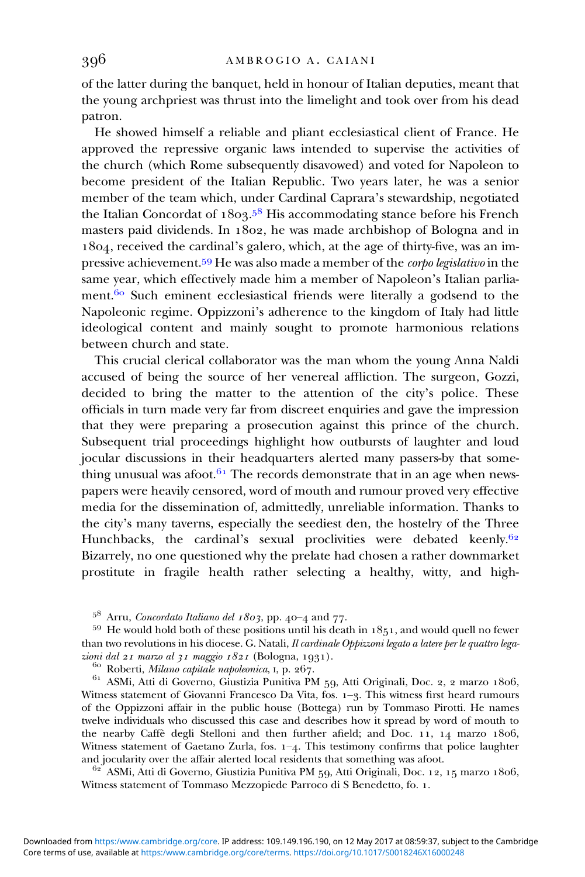<span id="page-12-0"></span>of the latter during the banquet, held in honour of Italian deputies, meant that the young archpriest was thrust into the limelight and took over from his dead patron.

He showed himself a reliable and pliant ecclesiastical client of France. He approved the repressive organic laws intended to supervise the activities of the church (which Rome subsequently disavowed) and voted for Napoleon to become president of the Italian Republic. Two years later, he was a senior member of the team which, under Cardinal Caprara's stewardship, negotiated the Italian Concordat of 1803. $5^8$  His accommodating stance before his French masters paid dividends. In 1802, he was made archbishop of Bologna and in , received the cardinal's galero, which, at the age of thirty-five, was an impressive achievement.<sup>59</sup> He was also made a member of the *corpo legislativo* in the same year, which effectively made him a member of Napoleon's Italian parliament.<sup>60</sup> Such eminent ecclesiastical friends were literally a godsend to the Napoleonic regime. Oppizzoni's adherence to the kingdom of Italy had little ideological content and mainly sought to promote harmonious relations between church and state.

This crucial clerical collaborator was the man whom the young Anna Naldi accused of being the source of her venereal affliction. The surgeon, Gozzi, decided to bring the matter to the attention of the city's police. These officials in turn made very far from discreet enquiries and gave the impression that they were preparing a prosecution against this prince of the church. Subsequent trial proceedings highlight how outbursts of laughter and loud jocular discussions in their headquarters alerted many passers-by that something unusual was afoot.<sup> $61$ </sup> The records demonstrate that in an age when newspapers were heavily censored, word of mouth and rumour proved very effective media for the dissemination of, admittedly, unreliable information. Thanks to the city's many taverns, especially the seediest den, the hostelry of the Three Hunchbacks, the cardinal's sexual proclivities were debated keenly.  $62$ Bizarrely, no one questioned why the prelate had chosen a rather downmarket prostitute in fragile health rather selecting a healthy, witty, and high-

 $5^8$  Arru, Concordato Italiano del 1803, pp. 40-4 and 77.

 $59$  He would hold both of these positions until his death in  $1851$ , and would quell no fewer than two revolutions in his diocese. G. Natali, Il cardinale Oppizzoni legato a latere per le quattro legazioni dal 21 marzo al 31 maggio 1821 (Bologna, 1931).

 $60$  Roberti, Milano capitale napoleonica, I, p. 267.

 $^{61}$  ASMi, Atti di Governo, Giustizia Punitiva PM 59, Atti Originali, Doc. 2, 2 marzo 1806, Witness statement of Giovanni Francesco Da Vita, fos.  $1-9$ . This witness first heard rumours of the Oppizzoni affair in the public house (Bottega) run by Tommaso Pirotti. He names twelve individuals who discussed this case and describes how it spread by word of mouth to the nearby Caffè degli Stelloni and then further afield; and Doc.  $11, 14$  marzo  $1806$ , Witness statement of Gaetano Zurla, fos.  $1-4$ . This testimony confirms that police laughter and jocularity over the affair alerted local residents that something was afoot.

 $62$  ASMi, Atti di Governo, Giustizia Punitiva PM 59, Atti Originali, Doc. 12, 15 marzo 1806, Witness statement of Tommaso Mezzopiede Parroco di S Benedetto, fo. 1.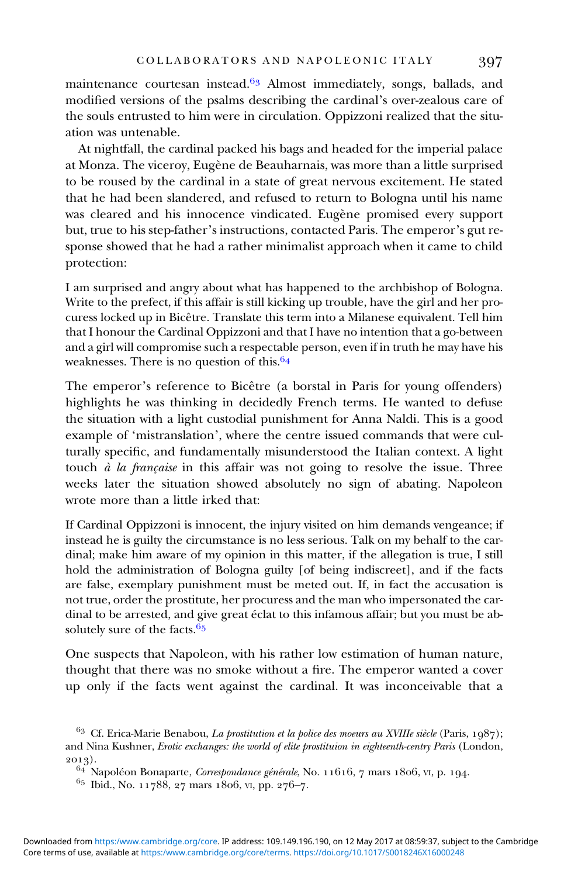<span id="page-13-0"></span>maintenance courtesan instead. $63$  Almost immediately, songs, ballads, and modified versions of the psalms describing the cardinal's over-zealous care of the souls entrusted to him were in circulation. Oppizzoni realized that the situation was untenable.

At nightfall, the cardinal packed his bags and headed for the imperial palace at Monza. The viceroy, Eugène de Beauharnais, was more than a little surprised to be roused by the cardinal in a state of great nervous excitement. He stated that he had been slandered, and refused to return to Bologna until his name was cleared and his innocence vindicated. Eugène promised every support but, true to his step-father's instructions, contacted Paris. The emperor's gut response showed that he had a rather minimalist approach when it came to child protection:

I am surprised and angry about what has happened to the archbishop of Bologna. Write to the prefect, if this affair is still kicking up trouble, have the girl and her procuress locked up in Bicêtre. Translate this term into a Milanese equivalent. Tell him that I honour the Cardinal Oppizzoni and that I have no intention that a go-between and a girl will compromise such a respectable person, even if in truth he may have his weaknesses. There is no question of this.<sup>64</sup>

The emperor's reference to Bicêtre (a borstal in Paris for young offenders) highlights he was thinking in decidedly French terms. He wanted to defuse the situation with a light custodial punishment for Anna Naldi. This is a good example of 'mistranslation', where the centre issued commands that were culturally specific, and fundamentally misunderstood the Italian context. A light touch à la française in this affair was not going to resolve the issue. Three weeks later the situation showed absolutely no sign of abating. Napoleon wrote more than a little irked that:

If Cardinal Oppizzoni is innocent, the injury visited on him demands vengeance; if instead he is guilty the circumstance is no less serious. Talk on my behalf to the cardinal; make him aware of my opinion in this matter, if the allegation is true, I still hold the administration of Bologna guilty [of being indiscreet], and if the facts are false, exemplary punishment must be meted out. If, in fact the accusation is not true, order the prostitute, her procuress and the man who impersonated the cardinal to be arrested, and give great éclat to this infamous affair; but you must be absolutely sure of the facts. $65$ 

One suspects that Napoleon, with his rather low estimation of human nature, thought that there was no smoke without a fire. The emperor wanted a cover up only if the facts went against the cardinal. It was inconceivable that a

<sup>&</sup>lt;sup>63</sup> Cf. Erica-Marie Benabou, *La prostitution et la police des moeurs au XVIIIe siècle* (Paris, 1987); and Nina Kushner, Erotic exchanges: the world of elite prostituion in eighteenth-centry Paris (London,  $2013$ ).

 $64$  Napoléon Bonaparte, Correspondance générale, No. 11616, 7 mars 1806, vi, p. 194.

 $65$  Ibid., No. 11788, 27 mars 1806, vi, pp. 276-7.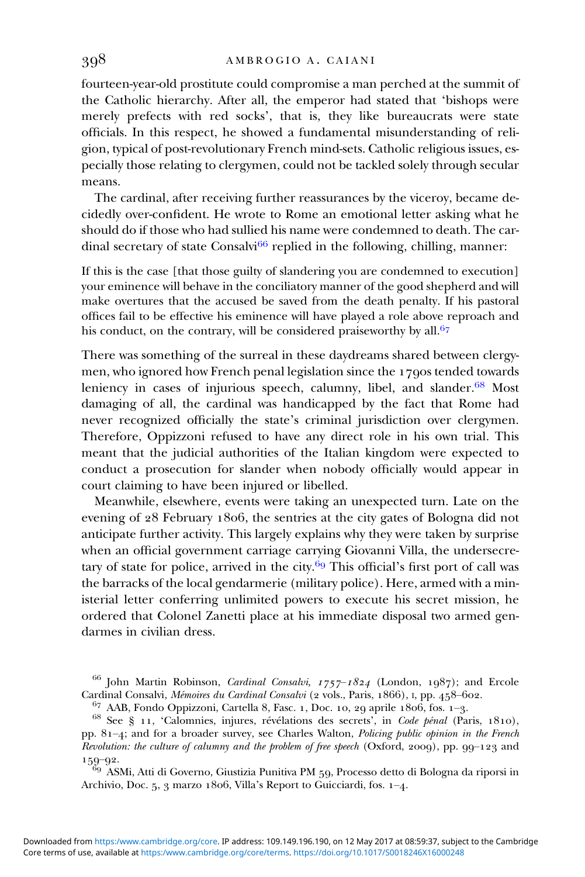fourteen-year-old prostitute could compromise a man perched at the summit of the Catholic hierarchy. After all, the emperor had stated that 'bishops were merely prefects with red socks', that is, they like bureaucrats were state officials. In this respect, he showed a fundamental misunderstanding of religion, typical of post-revolutionary French mind-sets. Catholic religious issues, especially those relating to clergymen, could not be tackled solely through secular means.

The cardinal, after receiving further reassurances by the viceroy, became decidedly over-confident. He wrote to Rome an emotional letter asking what he should do if those who had sullied his name were condemned to death. The cardinal secretary of state Consalvi<sup>66</sup> replied in the following, chilling, manner:

If this is the case [that those guilty of slandering you are condemned to execution] your eminence will behave in the conciliatory manner of the good shepherd and will make overtures that the accused be saved from the death penalty. If his pastoral offices fail to be effective his eminence will have played a role above reproach and his conduct, on the contrary, will be considered praiseworthy by all.<sup>67</sup>

There was something of the surreal in these daydreams shared between clergymen, who ignored how French penal legislation since the 1790s tended towards leniency in cases of injurious speech, calumny, libel, and slander.<sup>68</sup> Most damaging of all, the cardinal was handicapped by the fact that Rome had never recognized officially the state's criminal jurisdiction over clergymen. Therefore, Oppizzoni refused to have any direct role in his own trial. This meant that the judicial authorities of the Italian kingdom were expected to conduct a prosecution for slander when nobody officially would appear in court claiming to have been injured or libelled.

Meanwhile, elsewhere, events were taking an unexpected turn. Late on the evening of 28 February 1806, the sentries at the city gates of Bologna did not anticipate further activity. This largely explains why they were taken by surprise when an official government carriage carrying Giovanni Villa, the undersecretary of state for police, arrived in the city. $69$  This official's first port of call was the barracks of the local gendarmerie (military police). Here, armed with a ministerial letter conferring unlimited powers to execute his secret mission, he ordered that Colonel Zanetti place at his immediate disposal two armed gendarmes in civilian dress.

 $^{66}$  John Martin Robinson, Cardinal Consalvi, 1757-1824 (London, 1987); and Ercole Cardinal Consalvi, Mémoires du Cardinal Consalvi (2 vols., Paris, 1866), I, pp. 458-602.

 $67$  AAB, Fondo Oppizzoni, Cartella 8, Fasc. 1, Doc. 10, 29 aprile 1806, fos. 1-3.

 $^{69}$  ASMi, Atti di Governo, Giustizia Punitiva PM 59, Processo detto di Bologna da riporsi in Archivio, Doc. 5, 3 marzo 1806, Villa's Report to Guicciardi, fos. 1-4.

<span id="page-14-0"></span>

 $68$  See § 11, 'Calomnies, injures, révélations des secrets', in Code pénal (Paris, 1810), pp.  $81-4$ ; and for a broader survey, see Charles Walton, *Policing public opinion in the French* Revolution: the culture of calumny and the problem of free speech  $(Oxford, 2009)$ , pp.  $99-123$  and  $150 - 92.$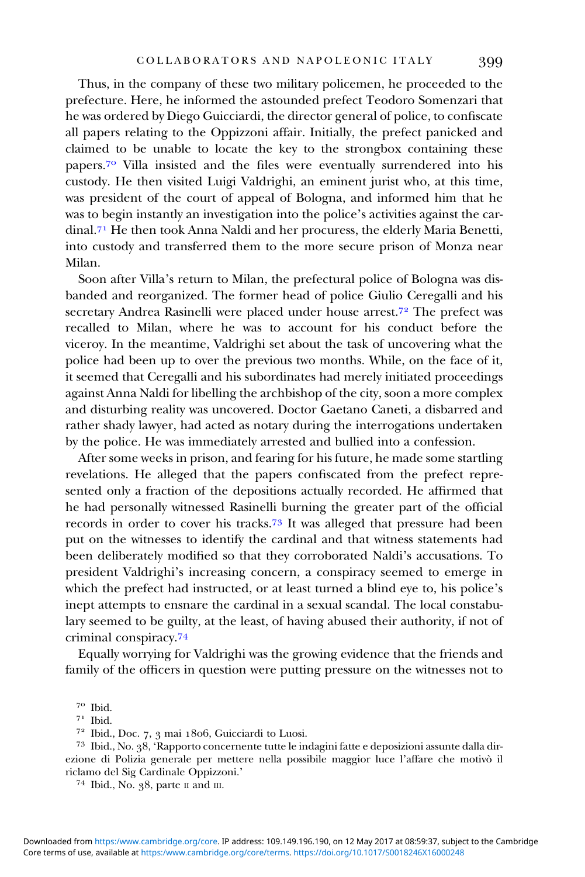<span id="page-15-0"></span>Thus, in the company of these two military policemen, he proceeded to the prefecture. Here, he informed the astounded prefect Teodoro Somenzari that he was ordered by Diego Guicciardi, the director general of police, to confiscate all papers relating to the Oppizzoni affair. Initially, the prefect panicked and claimed to be unable to locate the key to the strongbox containing these papers.<sup>70</sup> Villa insisted and the files were eventually surrendered into his custody. He then visited Luigi Valdrighi, an eminent jurist who, at this time, was president of the court of appeal of Bologna, and informed him that he was to begin instantly an investigation into the police's activities against the cardinal.<sup>71</sup> He then took Anna Naldi and her procuress, the elderly Maria Benetti, into custody and transferred them to the more secure prison of Monza near Milan.

Soon after Villa's return to Milan, the prefectural police of Bologna was disbanded and reorganized. The former head of police Giulio Ceregalli and his secretary Andrea Rasinelli were placed under house arrest.<sup>72</sup> The prefect was recalled to Milan, where he was to account for his conduct before the viceroy. In the meantime, Valdrighi set about the task of uncovering what the police had been up to over the previous two months. While, on the face of it, it seemed that Ceregalli and his subordinates had merely initiated proceedings against Anna Naldi for libelling the archbishop of the city, soon a more complex and disturbing reality was uncovered. Doctor Gaetano Caneti, a disbarred and rather shady lawyer, had acted as notary during the interrogations undertaken by the police. He was immediately arrested and bullied into a confession.

After some weeks in prison, and fearing for his future, he made some startling revelations. He alleged that the papers confiscated from the prefect represented only a fraction of the depositions actually recorded. He affirmed that he had personally witnessed Rasinelli burning the greater part of the official records in order to cover his tracks.<sup>73</sup> It was alleged that pressure had been put on the witnesses to identify the cardinal and that witness statements had been deliberately modified so that they corroborated Naldi's accusations. To president Valdrighi's increasing concern, a conspiracy seemed to emerge in which the prefect had instructed, or at least turned a blind eye to, his police's inept attempts to ensnare the cardinal in a sexual scandal. The local constabulary seemed to be guilty, at the least, of having abused their authority, if not of criminal conspiracy.

Equally worrying for Valdrighi was the growing evidence that the friends and family of the officers in question were putting pressure on the witnesses not to

 $7<sup>2</sup>$  Ibid., Doc. 7, 3 mai 1806, Guicciardi to Luosi.

<sup>73</sup> Ibid., No. 38, 'Rapporto concernente tutte le indagini fatte e deposizioni assunte dalla direzione di Polizia generale per mettere nella possibile maggior luce l'affare che motivò il riclamo del Sig Cardinale Oppizzoni.'

 $74$  Ibid., No.  $38$ , parte II and III.

<sup>&</sup>lt;sup>70</sup> Ibid.

 $7<sup>1</sup>$  Ibid.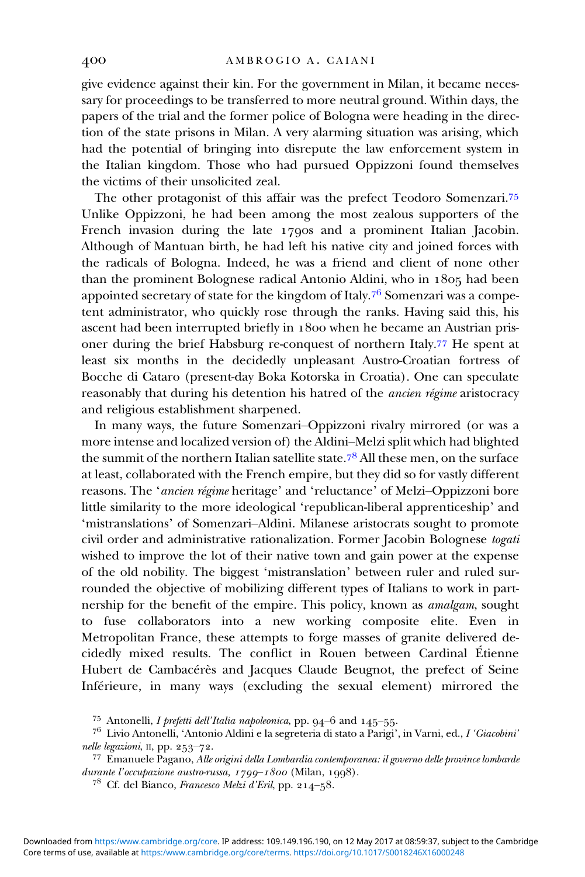<span id="page-16-0"></span>give evidence against their kin. For the government in Milan, it became necessary for proceedings to be transferred to more neutral ground. Within days, the papers of the trial and the former police of Bologna were heading in the direction of the state prisons in Milan. A very alarming situation was arising, which had the potential of bringing into disrepute the law enforcement system in the Italian kingdom. Those who had pursued Oppizzoni found themselves the victims of their unsolicited zeal.

The other protagonist of this affair was the prefect Teodoro Somenzari. Unlike Oppizzoni, he had been among the most zealous supporters of the French invasion during the late  $1790s$  and a prominent Italian Jacobin. Although of Mantuan birth, he had left his native city and joined forces with the radicals of Bologna. Indeed, he was a friend and client of none other than the prominent Bolognese radical Antonio Aldini, who in 1805 had been appointed secretary of state for the kingdom of Italy.<sup>76</sup> Somenzari was a competent administrator, who quickly rose through the ranks. Having said this, his ascent had been interrupted briefly in 1800 when he became an Austrian prisoner during the brief Habsburg re-conquest of northern Italy.<sup>77</sup> He spent at least six months in the decidedly unpleasant Austro-Croatian fortress of Bocche di Cataro (present-day Boka Kotorska in Croatia). One can speculate reasonably that during his detention his hatred of the ancien régime aristocracy and religious establishment sharpened.

In many ways, the future Somenzari–Oppizzoni rivalry mirrored (or was a more intense and localized version of) the Aldini–Melzi split which had blighted the summit of the northern Italian satellite state.<sup>78</sup> All these men, on the surface at least, collaborated with the French empire, but they did so for vastly different reasons. The 'ancien régime heritage' and 'reluctance' of Melzi–Oppizzoni bore little similarity to the more ideological 'republican-liberal apprenticeship' and 'mistranslations' of Somenzari–Aldini. Milanese aristocrats sought to promote civil order and administrative rationalization. Former Jacobin Bolognese togati wished to improve the lot of their native town and gain power at the expense of the old nobility. The biggest 'mistranslation' between ruler and ruled surrounded the objective of mobilizing different types of Italians to work in partnership for the benefit of the empire. This policy, known as amalgam, sought to fuse collaborators into a new working composite elite. Even in Metropolitan France, these attempts to forge masses of granite delivered decidedly mixed results. The conflict in Rouen between Cardinal Étienne Hubert de Cambacérès and Jacques Claude Beugnot, the prefect of Seine Inférieure, in many ways (excluding the sexual element) mirrored the

 $75$  Antonelli, I prefetti dell'Italia napoleonica, pp. 94-6 and 145-55.

Livio Antonelli, 'Antonio Aldini e la segreteria di stato a Parigi', in Varni, ed., I 'Giacobini' nelle legazioni, II, pp. 253-72.

Emanuele Pagano, Alle origini della Lombardia contemporanea: il governo delle province lombarde durante l'occupazione austro-russa,  $1799 - 1800$  (Milan, 1998).

 $^{78}$  Cf. del Bianco, Francesco Melzi d'Eril, pp. 214–58.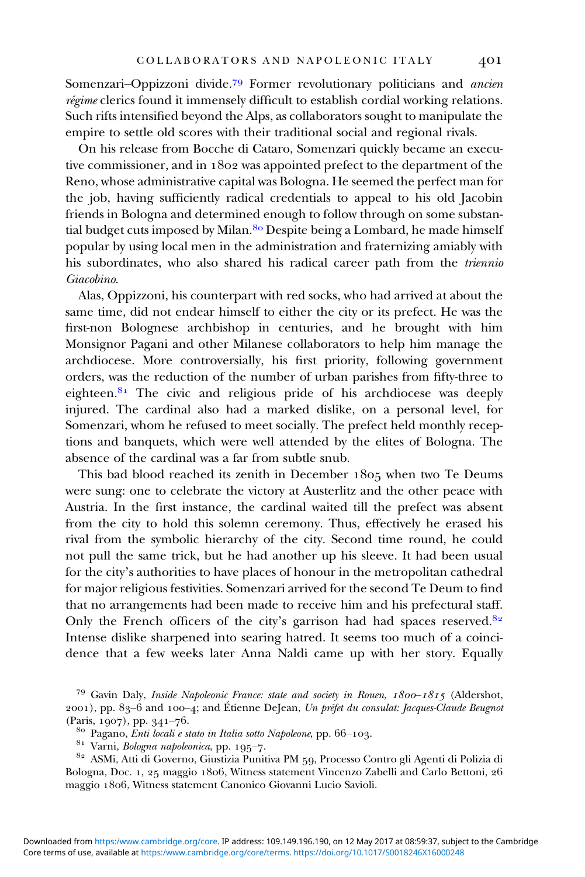<span id="page-17-0"></span>Somenzari–Oppizzoni divide.<sup>79</sup> Former revolutionary politicians and *ancien* régime clerics found it immensely difficult to establish cordial working relations. Such rifts intensified beyond the Alps, as collaborators sought to manipulate the empire to settle old scores with their traditional social and regional rivals.

On his release from Bocche di Cataro, Somenzari quickly became an executive commissioner, and in 1802 was appointed prefect to the department of the Reno, whose administrative capital was Bologna. He seemed the perfect man for the job, having sufficiently radical credentials to appeal to his old Jacobin friends in Bologna and determined enough to follow through on some substantial budget cuts imposed by Milan. <sup>80</sup> Despite being a Lombard, he made himself popular by using local men in the administration and fraternizing amiably with his subordinates, who also shared his radical career path from the triennio Giacobino.

Alas, Oppizzoni, his counterpart with red socks, who had arrived at about the same time, did not endear himself to either the city or its prefect. He was the first-non Bolognese archbishop in centuries, and he brought with him Monsignor Pagani and other Milanese collaborators to help him manage the archdiocese. More controversially, his first priority, following government orders, was the reduction of the number of urban parishes from fifty-three to eighteen. $81$  The civic and religious pride of his archdiocese was deeply injured. The cardinal also had a marked dislike, on a personal level, for Somenzari, whom he refused to meet socially. The prefect held monthly receptions and banquets, which were well attended by the elites of Bologna. The absence of the cardinal was a far from subtle snub.

This bad blood reached its zenith in December 1805 when two Te Deums were sung: one to celebrate the victory at Austerlitz and the other peace with Austria. In the first instance, the cardinal waited till the prefect was absent from the city to hold this solemn ceremony. Thus, effectively he erased his rival from the symbolic hierarchy of the city. Second time round, he could not pull the same trick, but he had another up his sleeve. It had been usual for the city's authorities to have places of honour in the metropolitan cathedral for major religious festivities. Somenzari arrived for the second Te Deum to find that no arrangements had been made to receive him and his prefectural staff. Only the French officers of the city's garrison had had spaces reserved.<sup>82</sup> Intense dislike sharpened into searing hatred. It seems too much of a coincidence that a few weeks later Anna Naldi came up with her story. Equally

 $81$  Varni, *Bologna napoleonica*, pp. 195-7.

82 ASMi, Atti di Governo, Giustizia Punitiva PM 59, Processo Contro gli Agenti di Polizia di Bologna, Doc. 1, 25 maggio 1806, Witness statement Vincenzo Zabelli and Carlo Bettoni, 26 maggio , Witness statement Canonico Giovanni Lucio Savioli.

<sup>&</sup>lt;sup>79</sup> Gavin Daly, *Inside Napoleonic France: state and society in Rouen,*  $1800 - 1815$  *(Aldershot,* 2001), pp. 83-6 and 100-4; and Étienne DeJean, Un préfet du consulat: Jacques-Claude Beugnot (Paris, 1907), pp. 341-76.

 $80$  Pagano, *Enti locali e stato in Italia sotto Napoleone*, pp.  $66-103$ .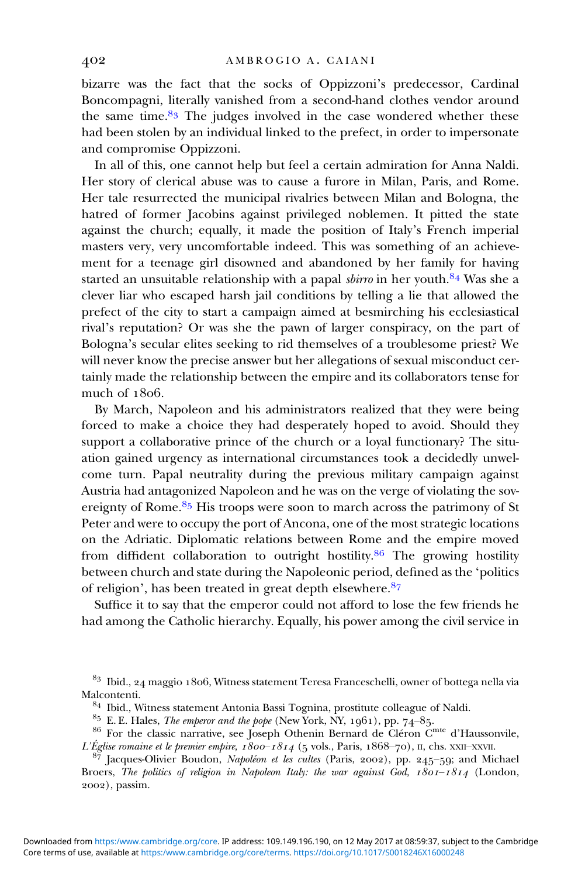bizarre was the fact that the socks of Oppizzoni's predecessor, Cardinal Boncompagni, literally vanished from a second-hand clothes vendor around the same time. $8<sup>3</sup>$  The judges involved in the case wondered whether these had been stolen by an individual linked to the prefect, in order to impersonate and compromise Oppizzoni.

In all of this, one cannot help but feel a certain admiration for Anna Naldi. Her story of clerical abuse was to cause a furore in Milan, Paris, and Rome. Her tale resurrected the municipal rivalries between Milan and Bologna, the hatred of former Jacobins against privileged noblemen. It pitted the state against the church; equally, it made the position of Italy's French imperial masters very, very uncomfortable indeed. This was something of an achievement for a teenage girl disowned and abandoned by her family for having started an unsuitable relationship with a papal *sbirro* in her youth.<sup>84</sup> Was she a clever liar who escaped harsh jail conditions by telling a lie that allowed the prefect of the city to start a campaign aimed at besmirching his ecclesiastical rival's reputation? Or was she the pawn of larger conspiracy, on the part of Bologna's secular elites seeking to rid themselves of a troublesome priest? We will never know the precise answer but her allegations of sexual misconduct certainly made the relationship between the empire and its collaborators tense for much of  $1806$ .

By March, Napoleon and his administrators realized that they were being forced to make a choice they had desperately hoped to avoid. Should they support a collaborative prince of the church or a loyal functionary? The situation gained urgency as international circumstances took a decidedly unwelcome turn. Papal neutrality during the previous military campaign against Austria had antagonized Napoleon and he was on the verge of violating the sovereignty of Rome. $85$  His troops were soon to march across the patrimony of St Peter and were to occupy the port of Ancona, one of the most strategic locations on the Adriatic. Diplomatic relations between Rome and the empire moved from diffident collaboration to outright hostility.<sup>86</sup> The growing hostility between church and state during the Napoleonic period, defined as the 'politics of religion', has been treated in great depth elsewhere.

Suffice it to say that the emperor could not afford to lose the few friends he had among the Catholic hierarchy. Equally, his power among the civil service in

 $^{87}$  Jacques-Olivier Boudon, Napoléon et les cultes (Paris, 2002), pp. 245-59; and Michael Broers, The politics of religion in Napoleon Italy: the war against God,  $180I-18I4$  (London, ), passim.

<span id="page-18-0"></span>

 $83$  Ibid.,  $24$  maggio 1806, Witness statement Teresa Franceschelli, owner of bottega nella via Malcontenti.

<sup>&</sup>lt;sup>84</sup> Ibid., Witness statement Antonia Bassi Tognina, prostitute colleague of Naldi.

 $85$  E. E. Hales, The emperor and the pope (New York, NY, 1961), pp. 74-85.

<sup>&</sup>lt;sup>86</sup> For the classic narrative, see Joseph Othenin Bernard de Cléron C<sup>mte</sup> d'Haussonvile, L'Église romaine et le premier empire,  $1800 - 1814$  (5 vols., Paris, 1868-70), II, chs. XXII-XXVII.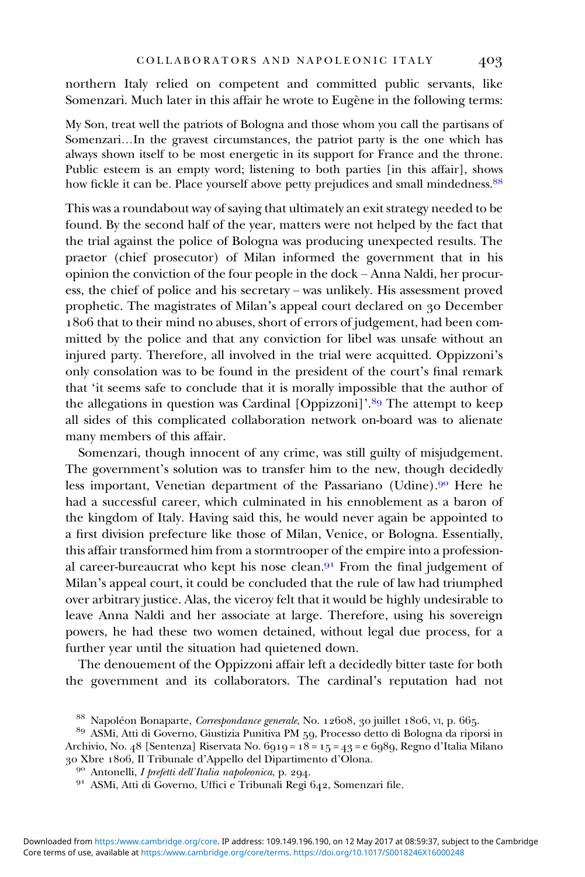<span id="page-19-0"></span>northern Italy relied on competent and committed public servants, like Somenzari. Much later in this affair he wrote to Eugène in the following terms:

My Son, treat well the patriots of Bologna and those whom you call the partisans of Somenzari…In the gravest circumstances, the patriot party is the one which has always shown itself to be most energetic in its support for France and the throne. Public esteem is an empty word; listening to both parties [in this affair], shows how fickle it can be. Place yourself above petty prejudices and small mindedness.<sup>88</sup>

This was a roundabout way of saying that ultimately an exit strategy needed to be found. By the second half of the year, matters were not helped by the fact that the trial against the police of Bologna was producing unexpected results. The praetor (chief prosecutor) of Milan informed the government that in his opinion the conviction of the four people in the dock – Anna Naldi, her procuress, the chief of police and his secretary – was unlikely. His assessment proved prophetic. The magistrates of Milan's appeal court declared on 30 December 1806 that to their mind no abuses, short of errors of judgement, had been committed by the police and that any conviction for libel was unsafe without an injured party. Therefore, all involved in the trial were acquitted. Oppizzoni's only consolation was to be found in the president of the court's final remark that 'it seems safe to conclude that it is morally impossible that the author of the allegations in question was Cardinal [Oppizzoni]'.<sup>89</sup> The attempt to keep all sides of this complicated collaboration network on-board was to alienate many members of this affair.

Somenzari, though innocent of any crime, was still guilty of misjudgement. The government's solution was to transfer him to the new, though decidedly less important, Venetian department of the Passariano (Udine).<sup>90</sup> Here he had a successful career, which culminated in his ennoblement as a baron of the kingdom of Italy. Having said this, he would never again be appointed to a first division prefecture like those of Milan, Venice, or Bologna. Essentially, this affair transformed him from a stormtrooper of the empire into a professional career-bureaucrat who kept his nose clean. $9<sup>1</sup>$  From the final judgement of Milan's appeal court, it could be concluded that the rule of law had triumphed over arbitrary justice. Alas, the viceroy felt that it would be highly undesirable to leave Anna Naldi and her associate at large. Therefore, using his sovereign powers, he had these two women detained, without legal due process, for a further year until the situation had quietened down.

The denouement of the Oppizzoni affair left a decidedly bitter taste for both the government and its collaborators. The cardinal's reputation had not

 $^{88}$  Napoléon Bonaparte, Correspondance generale, No. 12608, 30 juillet 1806, vi, p. 665.

<sup>&</sup>lt;sup>89</sup> ASMi, Atti di Governo, Giustizia Punitiva PM 59, Processo detto di Bologna da riporsi in Archivio, No. 48 [Sentenza] Riservata No.  $6919 = 18 = 15 = 43 = e\ 6989$ , Regno d'Italia Milano Xbre , Il Tribunale d'Appello del Dipartimento d'Olona.

 $90$  Antonelli, I prefetti dell'Italia napoleonica, p. 294.

<sup>&</sup>lt;sup>91</sup> ASMi, Atti di Governo, Uffici e Tribunali Regi 642, Somenzari file.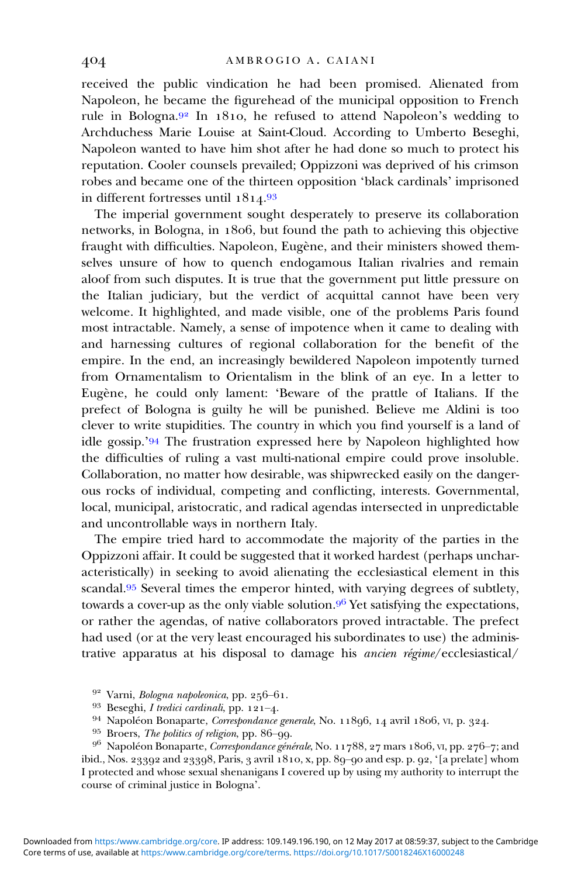received the public vindication he had been promised. Alienated from Napoleon, he became the figurehead of the municipal opposition to French rule in Bologna. $9^2$  In 1810, he refused to attend Napoleon's wedding to Archduchess Marie Louise at Saint-Cloud. According to Umberto Beseghi, Napoleon wanted to have him shot after he had done so much to protect his reputation. Cooler counsels prevailed; Oppizzoni was deprived of his crimson robes and became one of the thirteen opposition 'black cardinals' imprisoned in different fortresses until  $1814.93$ 

The imperial government sought desperately to preserve its collaboration networks, in Bologna, in 1806, but found the path to achieving this objective fraught with difficulties. Napoleon, Eugène, and their ministers showed themselves unsure of how to quench endogamous Italian rivalries and remain aloof from such disputes. It is true that the government put little pressure on the Italian judiciary, but the verdict of acquittal cannot have been very welcome. It highlighted, and made visible, one of the problems Paris found most intractable. Namely, a sense of impotence when it came to dealing with and harnessing cultures of regional collaboration for the benefit of the empire. In the end, an increasingly bewildered Napoleon impotently turned from Ornamentalism to Orientalism in the blink of an eye. In a letter to Eugène, he could only lament: 'Beware of the prattle of Italians. If the prefect of Bologna is guilty he will be punished. Believe me Aldini is too clever to write stupidities. The country in which you find yourself is a land of idle gossip.'94 The frustration expressed here by Napoleon highlighted how the difficulties of ruling a vast multi-national empire could prove insoluble. Collaboration, no matter how desirable, was shipwrecked easily on the dangerous rocks of individual, competing and conflicting, interests. Governmental, local, municipal, aristocratic, and radical agendas intersected in unpredictable and uncontrollable ways in northern Italy.

The empire tried hard to accommodate the majority of the parties in the Oppizzoni affair. It could be suggested that it worked hardest (perhaps uncharacteristically) in seeking to avoid alienating the ecclesiastical element in this scandal.<sup>95</sup> Several times the emperor hinted, with varying degrees of subtlety, towards a cover-up as the only viable solution. $96$  Yet satisfying the expectations, or rather the agendas, of native collaborators proved intractable. The prefect had used (or at the very least encouraged his subordinates to use) the administrative apparatus at his disposal to damage his ancien régime/ecclesiastical/

 $92$  Varni, Bologna napoleonica, pp. 256-61.

- $^{94}$  Napoléon Bonaparte, Correspondance generale, No. 11896, 14 avril 1806, vi, p. 324.
- $95$  Broers, The politics of religion, pp. 86–99.

96 Napoléon Bonaparte, Correspondance générale, No. 11788, 27 mars 1806, vi, pp. 276-7; and ibid., Nos. 23392 and 23398, Paris, 3 avril 1810, x, pp. 89-90 and esp. p. 92, '[a prelate] whom I protected and whose sexual shenanigans I covered up by using my authority to interrupt the course of criminal justice in Bologna'.

<span id="page-20-0"></span>

 $93$  Beseghi, I tredici cardinali, pp. 121-4.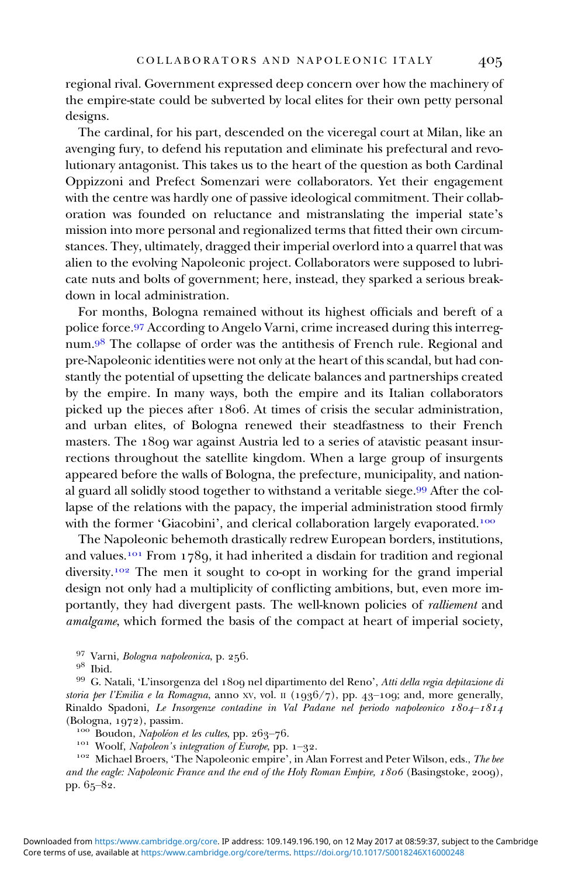<span id="page-21-0"></span>regional rival. Government expressed deep concern over how the machinery of the empire-state could be subverted by local elites for their own petty personal designs.

The cardinal, for his part, descended on the viceregal court at Milan, like an avenging fury, to defend his reputation and eliminate his prefectural and revolutionary antagonist. This takes us to the heart of the question as both Cardinal Oppizzoni and Prefect Somenzari were collaborators. Yet their engagement with the centre was hardly one of passive ideological commitment. Their collaboration was founded on reluctance and mistranslating the imperial state's mission into more personal and regionalized terms that fitted their own circumstances. They, ultimately, dragged their imperial overlord into a quarrel that was alien to the evolving Napoleonic project. Collaborators were supposed to lubricate nuts and bolts of government; here, instead, they sparked a serious breakdown in local administration.

For months, Bologna remained without its highest officials and bereft of a police force.<sup>97</sup> According to Angelo Varni, crime increased during this interregnum.<sup>98</sup> The collapse of order was the antithesis of French rule. Regional and pre-Napoleonic identities were not only at the heart of this scandal, but had constantly the potential of upsetting the delicate balances and partnerships created by the empire. In many ways, both the empire and its Italian collaborators picked up the pieces after 1806. At times of crisis the secular administration, and urban elites, of Bologna renewed their steadfastness to their French masters. The 1809 war against Austria led to a series of atavistic peasant insurrections throughout the satellite kingdom. When a large group of insurgents appeared before the walls of Bologna, the prefecture, municipality, and national guard all solidly stood together to withstand a veritable siege.<sup>99</sup> After the collapse of the relations with the papacy, the imperial administration stood firmly with the former 'Giacobini', and clerical collaboration largely evaporated.<sup>100</sup>

The Napoleonic behemoth drastically redrew European borders, institutions, and values.<sup>101</sup> From 1789, it had inherited a disdain for tradition and regional diversity.<sup>102</sup> The men it sought to co-opt in working for the grand imperial design not only had a multiplicity of conflicting ambitions, but, even more importantly, they had divergent pasts. The well-known policies of ralliement and amalgame, which formed the basis of the compact at heart of imperial society,

97 Varni, Bologna napoleonica, p. 256.

 $^{98}$  Ibid.

<sup>99</sup> G. Natali, 'L'insorgenza del 1809 nel dipartimento del Reno', Atti della regia depitazione di storia per l'Emilia e la Romagna, anno XV, vol. II (1936/7), pp. 43-109; and, more generally, Rinaldo Spadoni, Le Insorgenze contadine in Val Padane nel periodo napoleonico  $1804 - 1814$ (Bologna, 1972), passim.

 $100$  Boudon, Napoléon et les cultes, pp. 263-76.

 $101$  Woolf, Napoleon's integration of Europe, pp.  $1-32$ .

<sup>102</sup> Michael Broers, 'The Napoleonic empire', in Alan Forrest and Peter Wilson, eds., The bee and the eagle: Napoleonic France and the end of the Holy Roman Empire,  $1806$  (Basingstoke, 2009), pp. 65-82.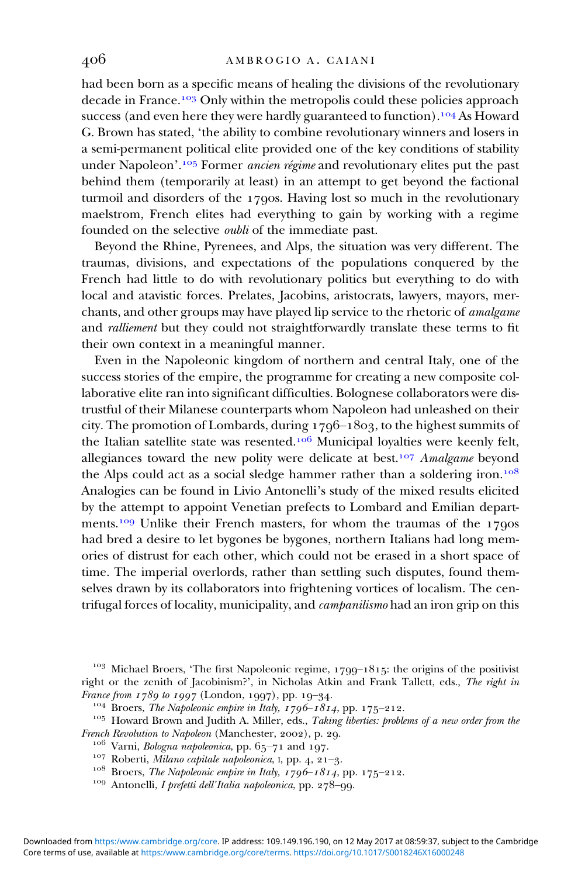<span id="page-22-0"></span>had been born as a specific means of healing the divisions of the revolutionary decade in France.<sup>103</sup> Only within the metropolis could these policies approach success (and even here they were hardly guaranteed to function).  $104$  As Howard G. Brown has stated, 'the ability to combine revolutionary winners and losers in a semi-permanent political elite provided one of the key conditions of stability under Napoleon'.<sup>105</sup> Former *ancien régime* and revolutionary elites put the past behind them (temporarily at least) in an attempt to get beyond the factional turmoil and disorders of the 1790s. Having lost so much in the revolutionary maelstrom, French elites had everything to gain by working with a regime founded on the selective oubli of the immediate past.

Beyond the Rhine, Pyrenees, and Alps, the situation was very different. The traumas, divisions, and expectations of the populations conquered by the French had little to do with revolutionary politics but everything to do with local and atavistic forces. Prelates, Jacobins, aristocrats, lawyers, mayors, merchants, and other groups may have played lip service to the rhetoric of amalgame and ralliement but they could not straightforwardly translate these terms to fit their own context in a meaningful manner.

Even in the Napoleonic kingdom of northern and central Italy, one of the success stories of the empire, the programme for creating a new composite collaborative elite ran into significant difficulties. Bolognese collaborators were distrustful of their Milanese counterparts whom Napoleon had unleashed on their city. The promotion of Lombards, during  $1796-1803$ , to the highest summits of the Italian satellite state was resented.<sup>106</sup> Municipal loyalties were keenly felt, allegiances toward the new polity were delicate at best.<sup>107</sup> Amalgame beyond the Alps could act as a social sledge hammer rather than a soldering iron.<sup>108</sup> Analogies can be found in Livio Antonelli's study of the mixed results elicited by the attempt to appoint Venetian prefects to Lombard and Emilian departments.<sup>109</sup> Unlike their French masters, for whom the traumas of the  $1790s$ had bred a desire to let bygones be bygones, northern Italians had long memories of distrust for each other, which could not be erased in a short space of time. The imperial overlords, rather than settling such disputes, found themselves drawn by its collaborators into frightening vortices of localism. The centrifugal forces of locality, municipality, and *campanilismo* had an iron grip on this

 $103$  Michael Broers, 'The first Napoleonic regime,  $1799-1815$ : the origins of the positivist right or the zenith of Jacobinism?', in Nicholas Atkin and Frank Tallett, eds., The right in France from  $1789$  to  $1997$  (London, 1997), pp. 19-34.

 $^{104}$  Broers, The Napoleonic empire in Italy, 1796-1814, pp. 175-212.

<sup>&</sup>lt;sup>105</sup> Howard Brown and Judith A. Miller, eds., Taking liberties: problems of a new order from the French Revolution to Napoleon (Manchester, 2002), p. 29.

 $106$  Varni, Bologna napoleonica, pp.  $65-71$  and 197.

 $107$  Roberti, Milano capitale napoleonica, I, pp. 4, 21-3.

 $108$  Broers, The Napoleonic empire in Italy,  $1796 - 1814$ , pp.  $175 - 212$ .

 $^{109}$  Antonelli, I prefetti dell'Italia napoleonica, pp. 278-99.